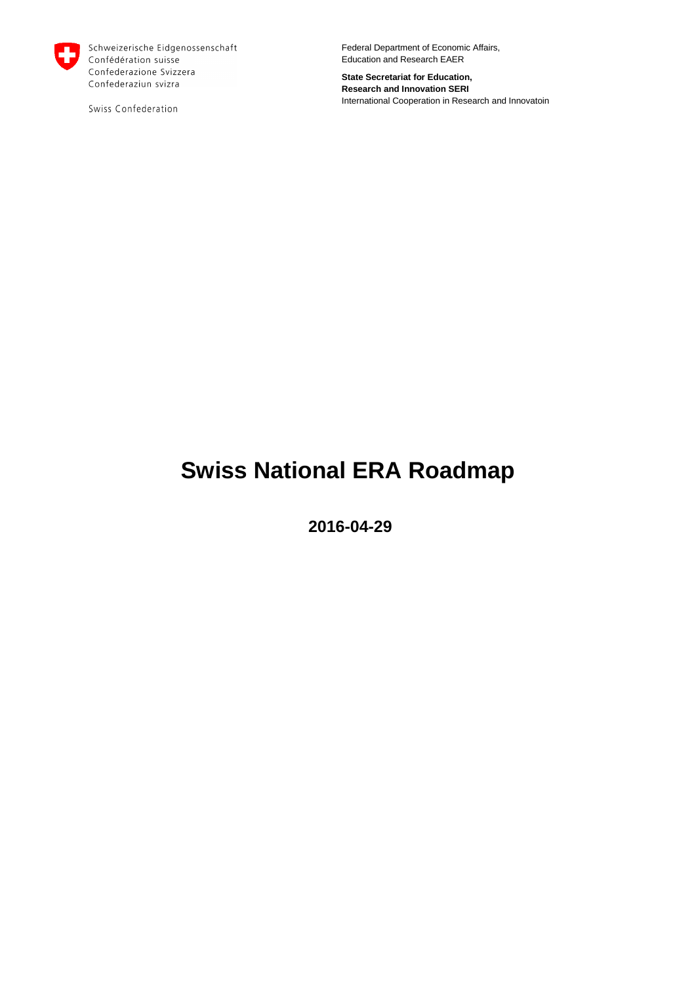

Schweizerische Eidgenossenschaft Confédération suisse Confederazione Svizzera Confederaziun svizra

Swiss Confederation

Federal Department of Economic Affairs, Education and Research EAER

**State Secretariat for Education, Research and Innovation SERI** International Cooperation in Research and Innovatoin

# **Swiss National ERA Roadmap**

**2016-04-29**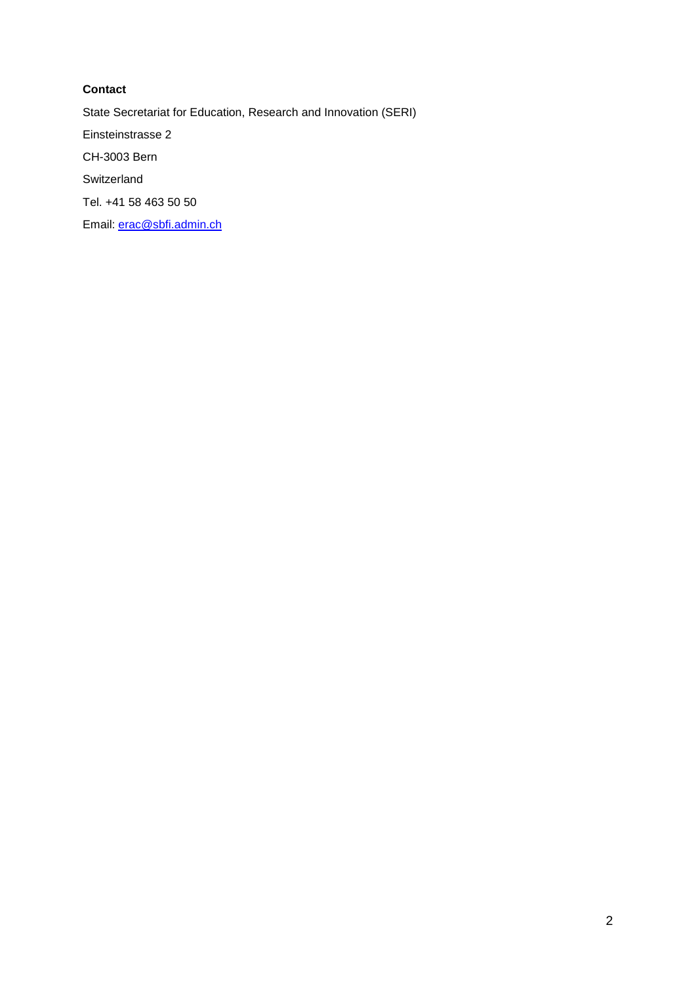#### **Contact**

State Secretariat for Education, Research and Innovation (SERI) Einsteinstrasse 2 CH-3003 Bern Switzerland Tel. +41 58 463 50 50 Email: [erac@sbfi.admin.ch](mailto:erac@sbfi.admin.ch)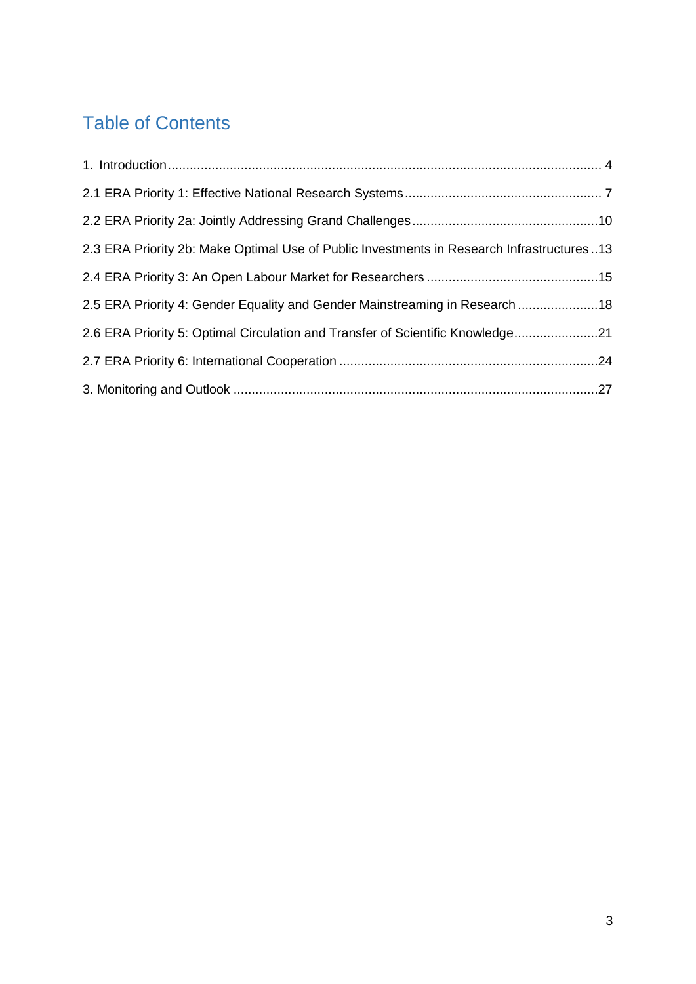# Table of Contents

| 2.3 ERA Priority 2b: Make Optimal Use of Public Investments in Research Infrastructures13 |  |
|-------------------------------------------------------------------------------------------|--|
|                                                                                           |  |
| 2.5 ERA Priority 4: Gender Equality and Gender Mainstreaming in Research 18               |  |
| 2.6 ERA Priority 5: Optimal Circulation and Transfer of Scientific Knowledge21            |  |
|                                                                                           |  |
|                                                                                           |  |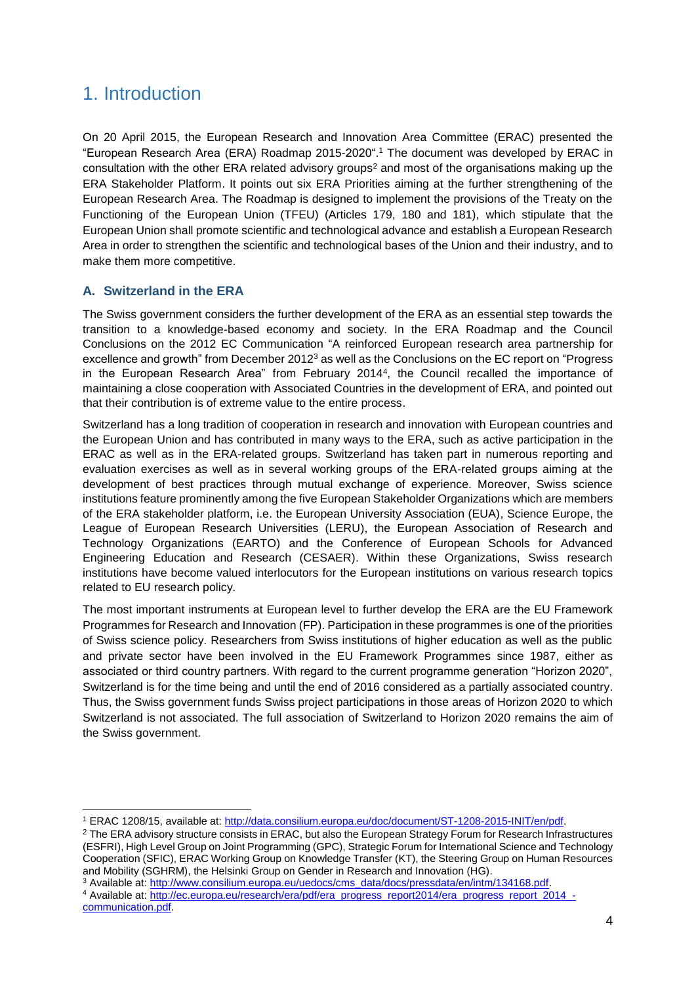# <span id="page-3-0"></span>1. Introduction

On 20 April 2015, the European Research and Innovation Area Committee (ERAC) presented the "European Research Area (ERA) Roadmap 2015-2020". <sup>1</sup> The document was developed by ERAC in consultation with the other ERA related advisory groups<sup>2</sup> and most of the organisations making up the ERA Stakeholder Platform. It points out six ERA Priorities aiming at the further strengthening of the European Research Area. The Roadmap is designed to implement the provisions of the Treaty on the Functioning of the European Union (TFEU) (Articles 179, 180 and 181), which stipulate that the European Union shall promote scientific and technological advance and establish a European Research Area in order to strengthen the scientific and technological bases of the Union and their industry, and to make them more competitive.

## **A. Switzerland in the ERA**

1

The Swiss government considers the further development of the ERA as an essential step towards the transition to a knowledge-based economy and society. In the ERA Roadmap and the Council Conclusions on the 2012 EC Communication "A reinforced European research area partnership for excellence and growth" from December 2012<sup>3</sup> as well as the Conclusions on the EC report on "Progress" in the European Research Area" from February 2014<sup>4</sup> , the Council recalled the importance of maintaining a close cooperation with Associated Countries in the development of ERA, and pointed out that their contribution is of extreme value to the entire process.

Switzerland has a long tradition of cooperation in research and innovation with European countries and the European Union and has contributed in many ways to the ERA, such as active participation in the ERAC as well as in the ERA-related groups. Switzerland has taken part in numerous reporting and evaluation exercises as well as in several working groups of the ERA-related groups aiming at the development of best practices through mutual exchange of experience. Moreover, Swiss science institutions feature prominently among the five European Stakeholder Organizations which are members of the ERA stakeholder platform, i.e. the European University Association (EUA), Science Europe, the League of European Research Universities (LERU), the European Association of Research and Technology Organizations (EARTO) and the Conference of European Schools for Advanced Engineering Education and Research (CESAER). Within these Organizations, Swiss research institutions have become valued interlocutors for the European institutions on various research topics related to EU research policy.

The most important instruments at European level to further develop the ERA are the EU Framework Programmes for Research and Innovation (FP). Participation in these programmes is one of the priorities of Swiss science policy. Researchers from Swiss institutions of higher education as well as the public and private sector have been involved in the EU Framework Programmes since 1987, either as associated or third country partners. With regard to the current programme generation "Horizon 2020", Switzerland is for the time being and until the end of 2016 considered as a partially associated country. Thus, the Swiss government funds Swiss project participations in those areas of Horizon 2020 to which Switzerland is not associated. The full association of Switzerland to Horizon 2020 remains the aim of the Swiss government.

<sup>1</sup> ERAC 1208/15, available at: [http://data.consilium.europa.eu/doc/document/ST-1208-2015-INIT/en/pdf.](http://data.consilium.europa.eu/doc/document/ST-1208-2015-INIT/en/pdf)

<sup>&</sup>lt;sup>2</sup> The ERA advisory structure consists in ERAC, but also the European Strategy Forum for Research Infrastructures (ESFRI), High Level Group on Joint Programming (GPC), Strategic Forum for International Science and Technology Cooperation (SFIC), ERAC Working Group on Knowledge Transfer (KT), the Steering Group on Human Resources and Mobility (SGHRM), the Helsinki Group on Gender in Research and Innovation (HG).

<sup>3</sup> Available at: [http://www.consilium.europa.eu/uedocs/cms\\_data/docs/pressdata/en/intm/134168.pdf.](http://www.consilium.europa.eu/uedocs/cms_data/docs/pressdata/en/intm/134168.pdf)

<sup>4</sup> Available at: [http://ec.europa.eu/research/era/pdf/era\\_progress\\_report2014/era\\_progress\\_report\\_2014\\_](http://ec.europa.eu/research/era/pdf/era_progress_report2014/era_progress_report_2014_-communication.pdf) [communication.pdf.](http://ec.europa.eu/research/era/pdf/era_progress_report2014/era_progress_report_2014_-communication.pdf)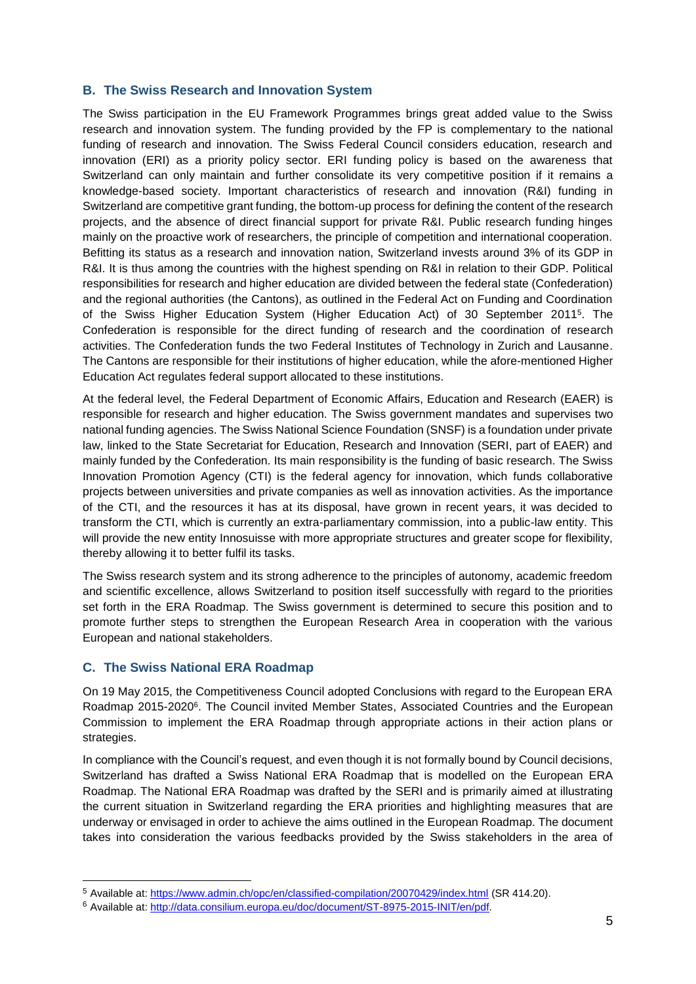#### **B. The Swiss Research and Innovation System**

The Swiss participation in the EU Framework Programmes brings great added value to the Swiss research and innovation system. The funding provided by the FP is complementary to the national funding of research and innovation. The Swiss Federal Council considers education, research and innovation (ERI) as a priority policy sector. ERI funding policy is based on the awareness that Switzerland can only maintain and further consolidate its very competitive position if it remains a knowledge-based society. Important characteristics of research and innovation (R&I) funding in Switzerland are competitive grant funding, the bottom-up process for defining the content of the research projects, and the absence of direct financial support for private R&I. Public research funding hinges mainly on the proactive work of researchers, the principle of competition and international cooperation. Befitting its status as a research and innovation nation, Switzerland invests around 3% of its GDP in R&I. It is thus among the countries with the highest spending on R&I in relation to their GDP. Political responsibilities for research and higher education are divided between the federal state (Confederation) and the regional authorities (the Cantons), as outlined in the Federal Act on Funding and Coordination of the Swiss Higher Education System (Higher Education Act) of 30 September 2011 5 . The Confederation is responsible for the direct funding of research and the coordination of research activities. The Confederation funds the two Federal Institutes of Technology in Zurich and Lausanne. The Cantons are responsible for their institutions of higher education, while the afore-mentioned Higher Education Act regulates federal support allocated to these institutions.

At the federal level, the Federal Department of Economic Affairs, Education and Research (EAER) is responsible for research and higher education. The Swiss government mandates and supervises two national funding agencies. The Swiss National Science Foundation (SNSF) is a foundation under private law, linked to the State Secretariat for Education, Research and Innovation (SERI, part of EAER) and mainly funded by the Confederation. Its main responsibility is the funding of basic research. The Swiss Innovation Promotion Agency (CTI) is the federal agency for innovation, which funds collaborative projects between universities and private companies as well as innovation activities. As the importance of the CTI, and the resources it has at its disposal, have grown in recent years, it was decided to transform the CTI, which is currently an extra-parliamentary commission, into a public-law entity. This will provide the new entity Innosuisse with more appropriate structures and greater scope for flexibility, thereby allowing it to better fulfil its tasks.

The Swiss research system and its strong adherence to the principles of autonomy, academic freedom and scientific excellence, allows Switzerland to position itself successfully with regard to the priorities set forth in the ERA Roadmap. The Swiss government is determined to secure this position and to promote further steps to strengthen the European Research Area in cooperation with the various European and national stakeholders.

#### **C. The Swiss National ERA Roadmap**

-

On 19 May 2015, the Competitiveness Council adopted Conclusions with regard to the European ERA Roadmap 2015-2020<sup>6</sup>. The Council invited Member States, Associated Countries and the European Commission to implement the ERA Roadmap through appropriate actions in their action plans or strategies.

In compliance with the Council's request, and even though it is not formally bound by Council decisions, Switzerland has drafted a Swiss National ERA Roadmap that is modelled on the European ERA Roadmap. The National ERA Roadmap was drafted by the SERI and is primarily aimed at illustrating the current situation in Switzerland regarding the ERA priorities and highlighting measures that are underway or envisaged in order to achieve the aims outlined in the European Roadmap. The document takes into consideration the various feedbacks provided by the Swiss stakeholders in the area of

<sup>5</sup> Available at:<https://www.admin.ch/opc/en/classified-compilation/20070429/index.html> (SR 414.20).

<sup>6</sup> Available at: [http://data.consilium.europa.eu/doc/document/ST-8975-2015-INIT/en/pdf.](http://data.consilium.europa.eu/doc/document/ST-8975-2015-INIT/en/pdf)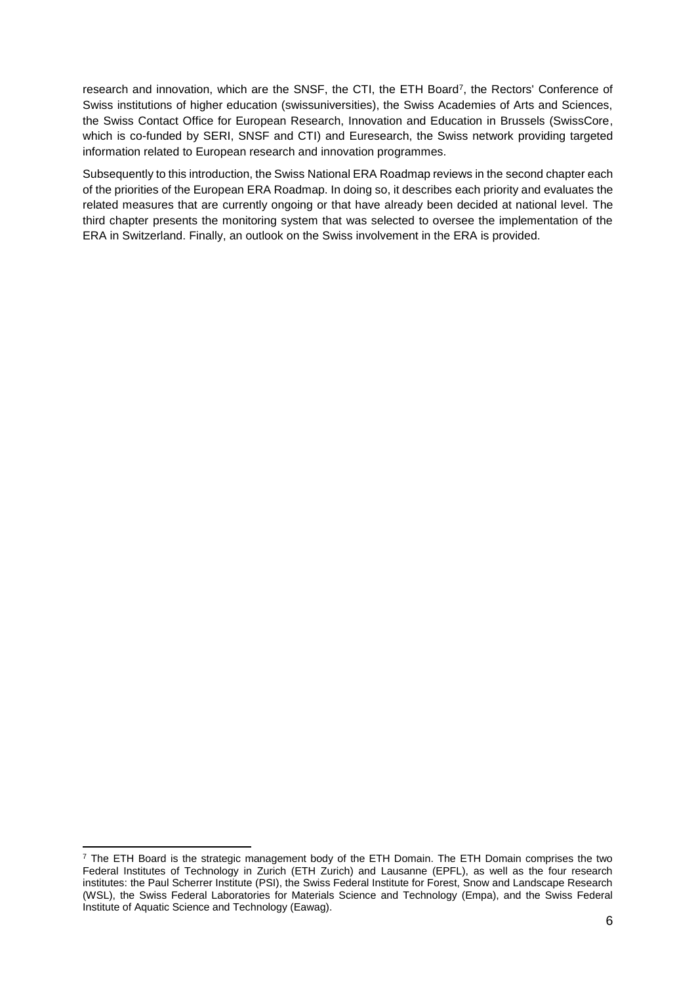research and innovation, which are the SNSF, the CTI, the ETH Board<sup>7</sup>, the Rectors' Conference of Swiss institutions of higher education (swissuniversities), the Swiss Academies of Arts and Sciences, the Swiss Contact Office for European Research, Innovation and Education in Brussels (SwissCore, which is co-funded by SERI, SNSF and CTI) and Euresearch, the Swiss network providing targeted information related to European research and innovation programmes.

Subsequently to this introduction, the Swiss National ERA Roadmap reviews in the second chapter each of the priorities of the European ERA Roadmap. In doing so, it describes each priority and evaluates the related measures that are currently ongoing or that have already been decided at national level. The third chapter presents the monitoring system that was selected to oversee the implementation of the ERA in Switzerland. Finally, an outlook on the Swiss involvement in the ERA is provided.

1

<sup>&</sup>lt;sup>7</sup> The ETH Board is the strategic management body of the ETH Domain. The ETH Domain comprises the two Federal Institutes of Technology in Zurich (ETH Zurich) and Lausanne (EPFL), as well as the four research institutes: the Paul Scherrer Institute (PSI), the Swiss Federal Institute for Forest, Snow and Landscape Research (WSL), the Swiss Federal Laboratories for Materials Science and Technology (Empa), and the Swiss Federal Institute of Aquatic Science and Technology (Eawag).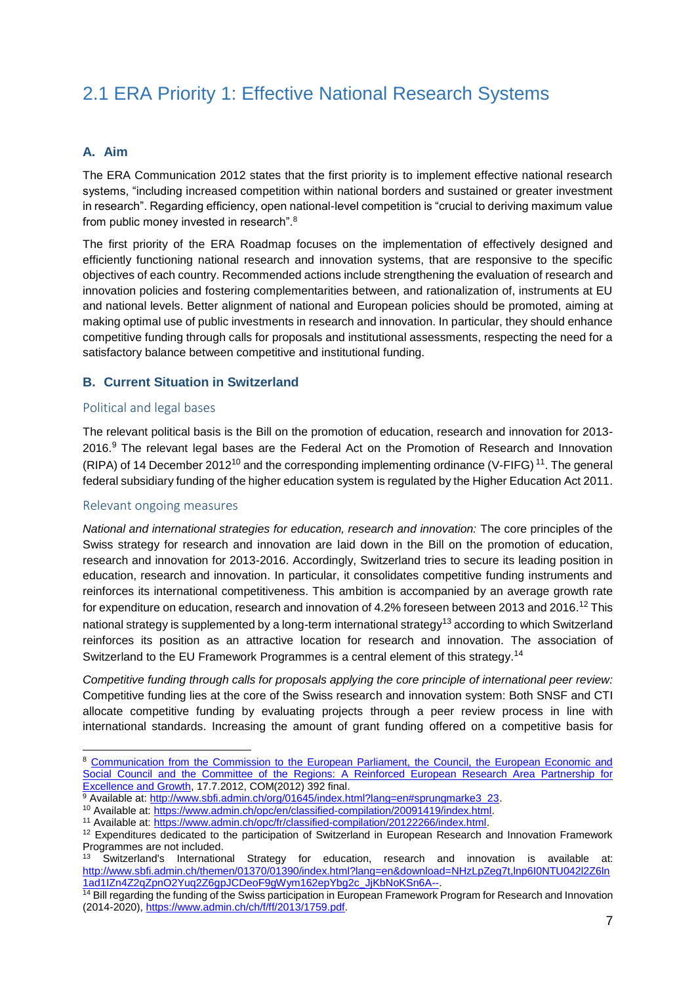# <span id="page-6-0"></span>2.1 ERA Priority 1: Effective National Research Systems

#### **A. Aim**

The ERA Communication 2012 states that the first priority is to implement effective national research systems, "including increased competition within national borders and sustained or greater investment in research". Regarding efficiency, open national-level competition is "crucial to deriving maximum value from public money invested in research".<sup>8</sup>

The first priority of the ERA Roadmap focuses on the implementation of effectively designed and efficiently functioning national research and innovation systems, that are responsive to the specific objectives of each country. Recommended actions include strengthening the evaluation of research and innovation policies and fostering complementarities between, and rationalization of, instruments at EU and national levels. Better alignment of national and European policies should be promoted, aiming at making optimal use of public investments in research and innovation. In particular, they should enhance competitive funding through calls for proposals and institutional assessments, respecting the need for a satisfactory balance between competitive and institutional funding.

#### **B. Current Situation in Switzerland**

#### Political and legal bases

The relevant political basis is the Bill on the promotion of education, research and innovation for 2013- 2016.<sup>9</sup> The relevant legal bases are the Federal Act on the Promotion of Research and Innovation (RIPA) of 14 December 2012<sup>10</sup> and the corresponding implementing ordinance (V-FIFG)<sup>11</sup>. The general federal subsidiary funding of the higher education system is regulated by the Higher Education Act 2011.

#### Relevant ongoing measures

*National and international strategies for education, research and innovation:* The core principles of the Swiss strategy for research and innovation are laid down in the Bill on the promotion of education, research and innovation for 2013-2016. Accordingly, Switzerland tries to secure its leading position in education, research and innovation. In particular, it consolidates competitive funding instruments and reinforces its international competitiveness. This ambition is accompanied by an average growth rate for expenditure on education, research and innovation of 4.2% foreseen between 2013 and 2016.<sup>12</sup> This national strategy is supplemented by a long-term international strategy<sup>13</sup> according to which Switzerland reinforces its position as an attractive location for research and innovation. The association of Switzerland to the EU Framework Programmes is a central element of this strategy.<sup>14</sup>

*Competitive funding through calls for proposals applying the core principle of international peer review:*  Competitive funding lies at the core of the Swiss research and innovation system: Both SNSF and CTI allocate competitive funding by evaluating projects through a peer review process in line with international standards. Increasing the amount of grant funding offered on a competitive basis for

<sup>1</sup> 8 Communication from the Commission to the European Parliament, the Council, the European Economic and [Social Council and the Committee of the Regions: A Reinforced European Research Area Partnership for](http://ec.europa.eu/euraxess/pdf/research_policies/era-communication_en.pdf)  [Excellence and Growth,](http://ec.europa.eu/euraxess/pdf/research_policies/era-communication_en.pdf) 17.7.2012, COM(2012) 392 final.

<sup>9</sup> Available at: [http://www.sbfi.admin.ch/org/01645/index.html?lang=en#sprungmarke3\\_23.](http://www.sbfi.admin.ch/org/01645/index.html?lang=en#sprungmarke3_23)

<sup>10</sup> Available at[: https://www.admin.ch/opc/en/classified-compilation/20091419/index.html.](https://www.admin.ch/opc/en/classified-compilation/20091419/index.html)

<sup>11</sup> Available at[: https://www.admin.ch/opc/fr/classified-compilation/20122266/index.html.](https://www.admin.ch/opc/fr/classified-compilation/20122266/index.html)

<sup>&</sup>lt;sup>12</sup> Expenditures dedicated to the participation of Switzerland in European Research and Innovation Framework Programmes are not included.

<sup>13</sup> Switzerland's International Strategy for education, research and innovation is available at: [http://www.sbfi.admin.ch/themen/01370/01390/index.html?lang=en&download=NHzLpZeg7t,lnp6I0NTU042l2Z6ln](http://www.sbfi.admin.ch/themen/01370/01390/index.html?lang=en&download=NHzLpZeg7t,lnp6I0NTU042l2Z6ln1ad1IZn4Z2qZpnO2Yuq2Z6gpJCDeoF9gWym162epYbg2c_JjKbNoKSn6A--) [1ad1IZn4Z2qZpnO2Yuq2Z6gpJCDeoF9gWym162epYbg2c\\_JjKbNoKSn6A--.](http://www.sbfi.admin.ch/themen/01370/01390/index.html?lang=en&download=NHzLpZeg7t,lnp6I0NTU042l2Z6ln1ad1IZn4Z2qZpnO2Yuq2Z6gpJCDeoF9gWym162epYbg2c_JjKbNoKSn6A--)

<sup>&</sup>lt;sup>14</sup> Bill regarding the funding of the Swiss participation in European Framework Program for Research and Innovation (2014-2020), [https://www.admin.ch/ch/f/ff/2013/1759.pdf.](https://www.admin.ch/ch/f/ff/2013/1759.pdf)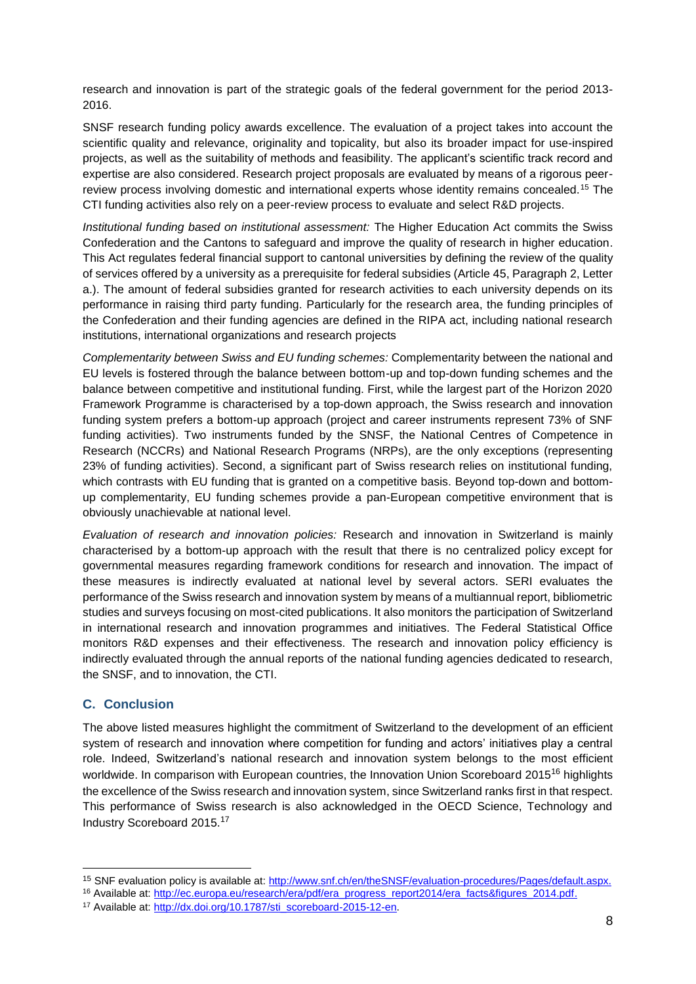research and innovation is part of the strategic goals of the federal government for the period 2013- 2016.

SNSF research funding policy awards excellence. The evaluation of a project takes into account the scientific quality and relevance, originality and topicality, but also its broader impact for use-inspired projects, as well as the suitability of methods and feasibility. The applicant's scientific track record and expertise are also considered. Research project proposals are evaluated by means of a rigorous peerreview process involving domestic and international experts whose identity remains concealed.<sup>15</sup> The CTI funding activities also rely on a peer-review process to evaluate and select R&D projects.

*Institutional funding based on institutional assessment:* The Higher Education Act commits the Swiss Confederation and the Cantons to safeguard and improve the quality of research in higher education. This Act regulates federal financial support to cantonal universities by defining the review of the quality of services offered by a university as a prerequisite for federal subsidies (Article 45, Paragraph 2, Letter a.). The amount of federal subsidies granted for research activities to each university depends on its performance in raising third party funding. Particularly for the research area, the funding principles of the Confederation and their funding agencies are defined in the RIPA act, including national research institutions, international organizations and research projects

*Complementarity between Swiss and EU funding schemes:* Complementarity between the national and EU levels is fostered through the balance between bottom-up and top-down funding schemes and the balance between competitive and institutional funding. First, while the largest part of the Horizon 2020 Framework Programme is characterised by a top-down approach, the Swiss research and innovation funding system prefers a bottom-up approach (project and career instruments represent 73% of SNF funding activities). Two instruments funded by the SNSF, the National Centres of Competence in Research (NCCRs) and National Research Programs (NRPs), are the only exceptions (representing 23% of funding activities). Second, a significant part of Swiss research relies on institutional funding, which contrasts with EU funding that is granted on a competitive basis. Beyond top-down and bottomup complementarity, EU funding schemes provide a pan-European competitive environment that is obviously unachievable at national level.

*Evaluation of research and innovation policies:* Research and innovation in Switzerland is mainly characterised by a bottom-up approach with the result that there is no centralized policy except for governmental measures regarding framework conditions for research and innovation. The impact of these measures is indirectly evaluated at national level by several actors. SERI evaluates the performance of the Swiss research and innovation system by means of a multiannual report, bibliometric studies and surveys focusing on most-cited publications. It also monitors the participation of Switzerland in international research and innovation programmes and initiatives. The Federal Statistical Office monitors R&D expenses and their effectiveness. The research and innovation policy efficiency is indirectly evaluated through the annual reports of the national funding agencies dedicated to research, the SNSF, and to innovation, the CTI.

#### **C. Conclusion**

1

The above listed measures highlight the commitment of Switzerland to the development of an efficient system of research and innovation where competition for funding and actors' initiatives play a central role. Indeed, Switzerland's national research and innovation system belongs to the most efficient worldwide. In comparison with European countries, the Innovation Union Scoreboard 2015<sup>16</sup> highlights the excellence of the Swiss research and innovation system, since Switzerland ranks first in that respect. This performance of Swiss research is also acknowledged in the OECD Science, Technology and Industry Scoreboard 2015. 17

<sup>&</sup>lt;sup>15</sup> SNF evaluation policy is available at: [http://www.snf.ch/en/theSNSF/evaluation-procedures/Pages/default.aspx.](http://www.snf.ch/en/theSNSF/evaluation-procedures/Pages/default.aspx)

<sup>16</sup> Available at[: http://ec.europa.eu/research/era/pdf/era\\_progress\\_report2014/era\\_facts&figures\\_2014.pdf.](http://ec.europa.eu/research/era/pdf/era_progress_report2014/era_facts&figures_2014.pdf)

<sup>17</sup> Available at[: http://dx.doi.org/10.1787/sti\\_scoreboard-2015-12-en.](http://dx.doi.org/10.1787/sti_scoreboard-2015-12-en)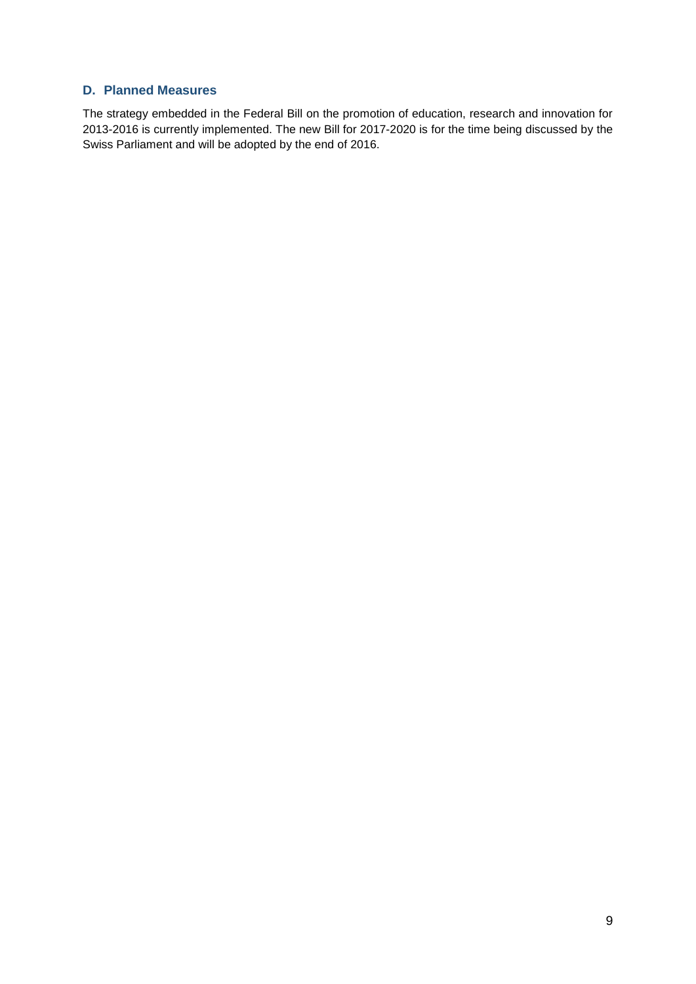#### **D. Planned Measures**

The strategy embedded in the Federal Bill on the promotion of education, research and innovation for 2013-2016 is currently implemented. The new Bill for 2017-2020 is for the time being discussed by the Swiss Parliament and will be adopted by the end of 2016.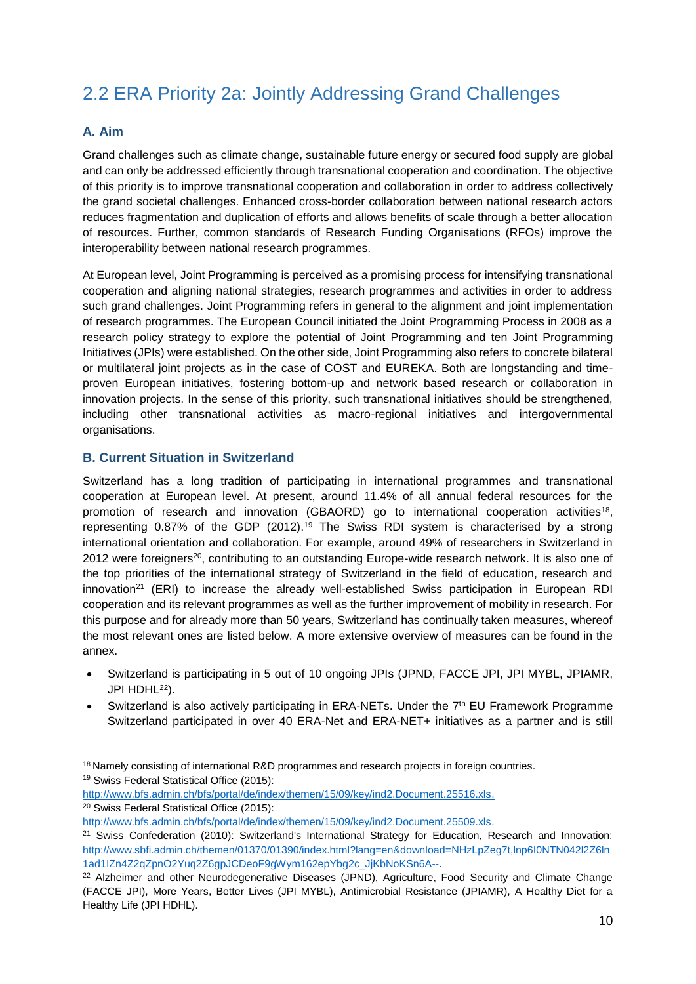# <span id="page-9-0"></span>2.2 ERA Priority 2a: Jointly Addressing Grand Challenges

#### **A. Aim**

-

Grand challenges such as climate change, sustainable future energy or secured food supply are global and can only be addressed efficiently through transnational cooperation and coordination. The objective of this priority is to improve transnational cooperation and collaboration in order to address collectively the grand societal challenges. Enhanced cross-border collaboration between national research actors reduces fragmentation and duplication of efforts and allows benefits of scale through a better allocation of resources. Further, common standards of Research Funding Organisations (RFOs) improve the interoperability between national research programmes.

At European level, Joint Programming is perceived as a promising process for intensifying transnational cooperation and aligning national strategies, research programmes and activities in order to address such grand challenges. Joint Programming refers in general to the alignment and joint implementation of research programmes. The European Council initiated the Joint Programming Process in 2008 as a research policy strategy to explore the potential of Joint Programming and ten Joint Programming Initiatives (JPIs) were established. On the other side, Joint Programming also refers to concrete bilateral or multilateral joint projects as in the case of COST and EUREKA. Both are longstanding and timeproven European initiatives, fostering bottom-up and network based research or collaboration in innovation projects. In the sense of this priority, such transnational initiatives should be strengthened, including other transnational activities as macro-regional initiatives and intergovernmental organisations.

#### **B. Current Situation in Switzerland**

Switzerland has a long tradition of participating in international programmes and transnational cooperation at European level. At present, around 11.4% of all annual federal resources for the promotion of research and innovation (GBAORD) go to international cooperation activities<sup>18</sup>, representing 0.87% of the GDP (2012). <sup>19</sup> The Swiss RDI system is characterised by a strong international orientation and collaboration. For example, around 49% of researchers in Switzerland in 2012 were foreigners<sup>20</sup>, contributing to an outstanding Europe-wide research network. It is also one of the top priorities of the international strategy of Switzerland in the field of education, research and innovation<sup>21</sup> (ERI) to increase the already well-established Swiss participation in European RDI cooperation and its relevant programmes as well as the further improvement of mobility in research. For this purpose and for already more than 50 years, Switzerland has continually taken measures, whereof the most relevant ones are listed below. A more extensive overview of measures can be found in the annex.

- Switzerland is participating in 5 out of 10 ongoing JPIs (JPND, FACCE JPI, JPI MYBL, JPIAMR, JPI HDHL<sup>22</sup>).
- Switzerland is also actively participating in ERA-NETs. Under the 7<sup>th</sup> EU Framework Programme Switzerland participated in over 40 ERA-Net and ERA-NET+ initiatives as a partner and is still

<sup>&</sup>lt;sup>18</sup> Namely consisting of international R&D programmes and research projects in foreign countries. <sup>19</sup> Swiss Federal Statistical Office (2015):

[http://www.bfs.admin.ch/bfs/portal/de/index/themen/15/09/key/ind2.Document.25516.xls.](http://www.bfs.admin.ch/bfs/portal/de/index/themen/15/09/key/ind2.Document.25516.xls) <sup>20</sup> Swiss Federal Statistical Office (2015):

[http://www.bfs.admin.ch/bfs/portal/de/index/themen/15/09/key/ind2.Document.25509.xls.](http://www.bfs.admin.ch/bfs/portal/de/index/themen/15/09/key/ind2.Document.25509.xls)

<sup>&</sup>lt;sup>21</sup> Swiss Confederation (2010): Switzerland's International Strategy for Education, Research and Innovation; [http://www.sbfi.admin.ch/themen/01370/01390/index.html?lang=en&download=NHzLpZeg7t,lnp6I0NTN042l2Z6ln](http://www.sbfi.admin.ch/themen/01370/01390/index.html?lang=en&download=NHzLpZeg7t,lnp6I0NTN042l2Z6ln1ad1IZn4Z2qZpnO2Yuq2Z6gpJCDeoF9gWym162epYbg2c_JjKbNoKSn6A--) [1ad1IZn4Z2qZpnO2Yuq2Z6gpJCDeoF9gWym162epYbg2c\\_JjKbNoKSn6A--.](http://www.sbfi.admin.ch/themen/01370/01390/index.html?lang=en&download=NHzLpZeg7t,lnp6I0NTN042l2Z6ln1ad1IZn4Z2qZpnO2Yuq2Z6gpJCDeoF9gWym162epYbg2c_JjKbNoKSn6A--)

<sup>&</sup>lt;sup>22</sup> Alzheimer and other Neurodegenerative Diseases (JPND), Agriculture, Food Security and Climate Change (FACCE JPI), More Years, Better Lives (JPI MYBL), Antimicrobial Resistance (JPIAMR), A Healthy Diet for a Healthy Life (JPI HDHL).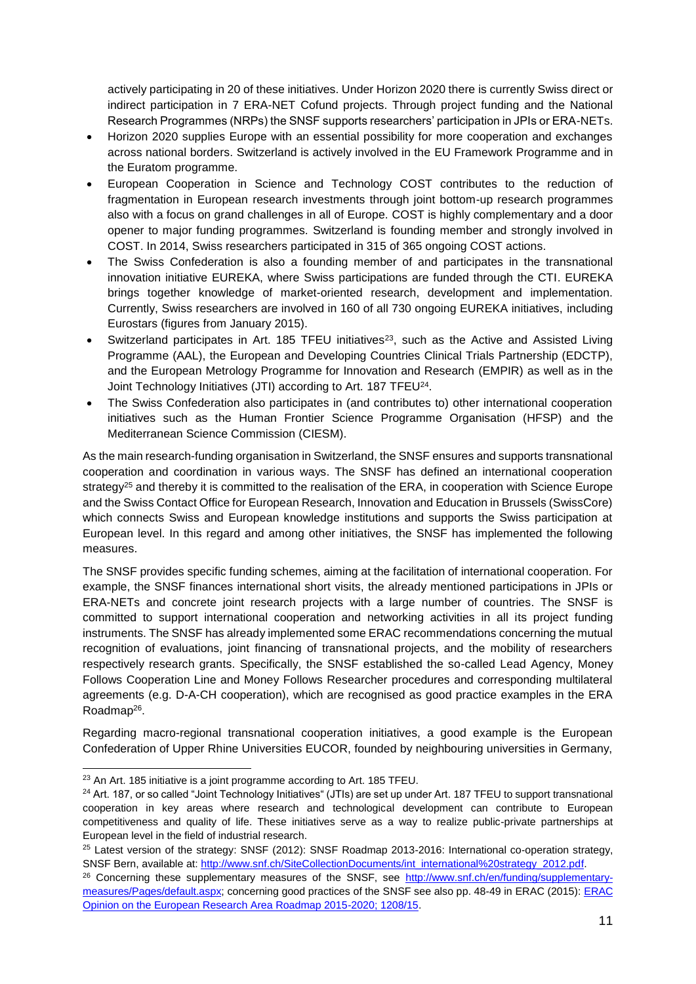actively participating in 20 of these initiatives. Under Horizon 2020 there is currently Swiss direct or indirect participation in 7 ERA-NET Cofund projects. Through project funding and the National Research Programmes (NRPs) the SNSF supports researchers' participation in JPIs or ERA-NETs.

- Horizon 2020 supplies Europe with an essential possibility for more cooperation and exchanges across national borders. Switzerland is actively involved in the EU Framework Programme and in the Euratom programme.
- European Cooperation in Science and Technology COST contributes to the reduction of fragmentation in European research investments through joint bottom-up research programmes also with a focus on grand challenges in all of Europe. COST is highly complementary and a door opener to major funding programmes. Switzerland is founding member and strongly involved in COST. In 2014, Swiss researchers participated in 315 of 365 ongoing COST actions.
- The Swiss Confederation is also a founding member of and participates in the transnational innovation initiative EUREKA, where Swiss participations are funded through the CTI. EUREKA brings together knowledge of market-oriented research, development and implementation. Currently, Swiss researchers are involved in 160 of all 730 ongoing EUREKA initiatives, including Eurostars (figures from January 2015).
- Switzerland participates in Art. 185 TFEU initiatives<sup>23</sup>, such as the Active and Assisted Living Programme (AAL), the European and Developing Countries Clinical Trials Partnership (EDCTP), and the European Metrology Programme for Innovation and Research (EMPIR) as well as in the Joint Technology Initiatives (JTI) according to Art. 187 TFEU<sup>24</sup>.
- The Swiss Confederation also participates in (and contributes to) other international cooperation initiatives such as the Human Frontier Science Programme Organisation (HFSP) and the Mediterranean Science Commission (CIESM).

As the main research-funding organisation in Switzerland, the SNSF ensures and supports transnational cooperation and coordination in various ways. The SNSF has defined an international cooperation strategy<sup>25</sup> and thereby it is committed to the realisation of the ERA, in cooperation with Science Europe and the Swiss Contact Office for European Research, Innovation and Education in Brussels (SwissCore) which connects Swiss and European knowledge institutions and supports the Swiss participation at European level. In this regard and among other initiatives, the SNSF has implemented the following measures.

The SNSF provides specific funding schemes, aiming at the facilitation of international cooperation. For example, the SNSF finances international short visits, the already mentioned participations in JPIs or ERA-NETs and concrete joint research projects with a large number of countries. The SNSF is committed to support international cooperation and networking activities in all its project funding instruments. The SNSF has already implemented some ERAC recommendations concerning the mutual recognition of evaluations, joint financing of transnational projects, and the mobility of researchers respectively research grants. Specifically, the SNSF established the so-called Lead Agency, Money Follows Cooperation Line and Money Follows Researcher procedures and corresponding multilateral agreements (e.g. D-A-CH cooperation), which are recognised as good practice examples in the ERA Roadmap<sup>26</sup>.

Regarding macro-regional transnational cooperation initiatives, a good example is the European Confederation of Upper Rhine Universities EUCOR, founded by neighbouring universities in Germany,

<sup>1</sup> <sup>23</sup> An Art. 185 initiative is a joint programme according to Art. 185 TFEU.

<sup>&</sup>lt;sup>24</sup> Art. 187, or so called "Joint Technology Initiatives" (JTIs) are set up under Art. 187 TFEU to support transnational cooperation in key areas where research and technological development can contribute to European competitiveness and quality of life. These initiatives serve as a way to realize public-private partnerships at European level in the field of industrial research.

<sup>25</sup> Latest version of the strategy: SNSF (2012): SNSF Roadmap 2013-2016: International co-operation strategy, SNSF Bern, available at: [http://www.snf.ch/SiteCollectionDocuments/int\\_international%20strategy\\_2012.pdf.](http://www.snf.ch/SiteCollectionDocuments/int_international%20strategy_2012.pdf)

<sup>&</sup>lt;sup>26</sup> Concerning these supplementary measures of the SNSF, see [http://www.snf.ch/en/funding/supplementary](http://www.snf.ch/en/funding/supplementary-measures/Pages/default.aspx)[measures/Pages/default.aspx;](http://www.snf.ch/en/funding/supplementary-measures/Pages/default.aspx) concerning good practices of the SNSF see also pp. 48-49 in ERAC (2015)[: ERAC](http://data.consilium.europa.eu/doc/document/ST-1208-2015-INIT/en/pdf)  [Opinion on the European Research Area Roadmap 2015-2020; 1208/15.](http://data.consilium.europa.eu/doc/document/ST-1208-2015-INIT/en/pdf)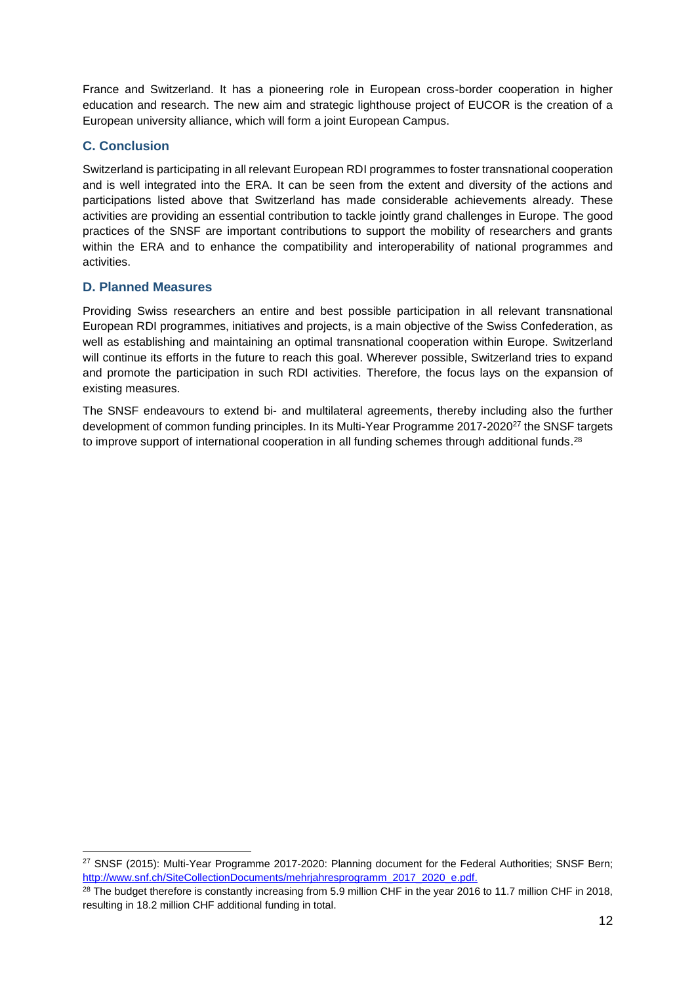France and Switzerland. It has a pioneering role in European cross-border cooperation in higher education and research. The new aim and strategic lighthouse project of EUCOR is the creation of a European university alliance, which will form a joint European Campus.

## **C. Conclusion**

Switzerland is participating in all relevant European RDI programmes to foster transnational cooperation and is well integrated into the ERA. It can be seen from the extent and diversity of the actions and participations listed above that Switzerland has made considerable achievements already. These activities are providing an essential contribution to tackle jointly grand challenges in Europe. The good practices of the SNSF are important contributions to support the mobility of researchers and grants within the ERA and to enhance the compatibility and interoperability of national programmes and activities.

#### **D. Planned Measures**

-

Providing Swiss researchers an entire and best possible participation in all relevant transnational European RDI programmes, initiatives and projects, is a main objective of the Swiss Confederation, as well as establishing and maintaining an optimal transnational cooperation within Europe. Switzerland will continue its efforts in the future to reach this goal. Wherever possible, Switzerland tries to expand and promote the participation in such RDI activities. Therefore, the focus lays on the expansion of existing measures.

The SNSF endeavours to extend bi- and multilateral agreements, thereby including also the further development of common funding principles. In its Multi-Year Programme 2017-2020<sup>27</sup> the SNSF targets to improve support of international cooperation in all funding schemes through additional funds.<sup>28</sup>

<sup>&</sup>lt;sup>27</sup> SNSF (2015): Multi-Year Programme 2017-2020: Planning document for the Federal Authorities; SNSF Bern; [http://www.snf.ch/SiteCollectionDocuments/mehrjahresprogramm\\_2017\\_2020\\_e.pdf.](http://www.snf.ch/SiteCollectionDocuments/mehrjahresprogramm_2017_2020_e.pdf)

<sup>&</sup>lt;sup>28</sup> The budget therefore is constantly increasing from 5.9 million CHF in the year 2016 to 11.7 million CHF in 2018, resulting in 18.2 million CHF additional funding in total.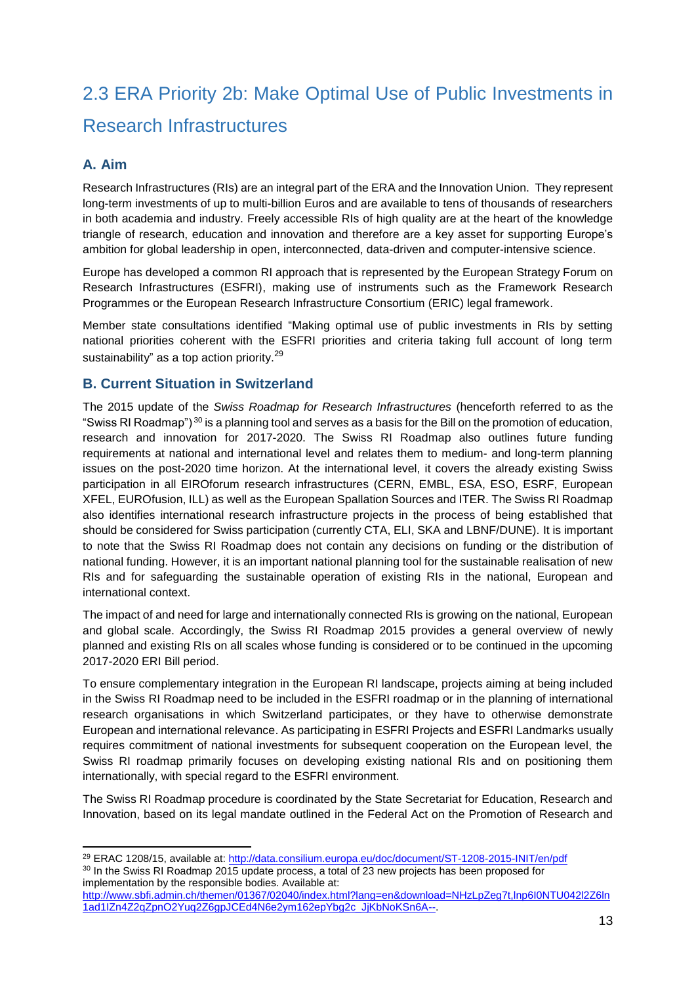# <span id="page-12-0"></span>2.3 ERA Priority 2b: Make Optimal Use of Public Investments in Research Infrastructures

# **A. Aim**

1

Research Infrastructures (RIs) are an integral part of the ERA and the Innovation Union. They represent long-term investments of up to multi-billion Euros and are available to tens of thousands of researchers in both academia and industry. Freely accessible RIs of high quality are at the heart of the knowledge triangle of research, education and innovation and therefore are a key asset for supporting Europe's ambition for global leadership in open, interconnected, data-driven and computer-intensive science.

Europe has developed a common RI approach that is represented by the European Strategy Forum on Research Infrastructures (ESFRI), making use of instruments such as the Framework Research Programmes or the European Research Infrastructure Consortium (ERIC) legal framework.

Member state consultations identified "Making optimal use of public investments in RIs by setting national priorities coherent with the ESFRI priorities and criteria taking full account of long term sustainability" as a top action priority.<sup>29</sup>

## **B. Current Situation in Switzerland**

The 2015 update of the *Swiss Roadmap for Research Infrastructures* (henceforth referred to as the "Swiss RI Roadmap")  $30$  is a planning tool and serves as a basis for the Bill on the promotion of education, research and innovation for 2017-2020. The Swiss RI Roadmap also outlines future funding requirements at national and international level and relates them to medium- and long-term planning issues on the post-2020 time horizon. At the international level, it covers the already existing Swiss participation in all EIROforum research infrastructures (CERN, EMBL, ESA, ESO, ESRF, European XFEL, EUROfusion, ILL) as well as the European Spallation Sources and ITER. The Swiss RI Roadmap also identifies international research infrastructure projects in the process of being established that should be considered for Swiss participation (currently CTA, ELI, SKA and LBNF/DUNE). It is important to note that the Swiss RI Roadmap does not contain any decisions on funding or the distribution of national funding. However, it is an important national planning tool for the sustainable realisation of new RIs and for safeguarding the sustainable operation of existing RIs in the national, European and international context.

The impact of and need for large and internationally connected RIs is growing on the national, European and global scale. Accordingly, the Swiss RI Roadmap 2015 provides a general overview of newly planned and existing RIs on all scales whose funding is considered or to be continued in the upcoming 2017-2020 ERI Bill period.

To ensure complementary integration in the European RI landscape, projects aiming at being included in the Swiss RI Roadmap need to be included in the ESFRI roadmap or in the planning of international research organisations in which Switzerland participates, or they have to otherwise demonstrate European and international relevance. As participating in ESFRI Projects and ESFRI Landmarks usually requires commitment of national investments for subsequent cooperation on the European level, the Swiss RI roadmap primarily focuses on developing existing national RIs and on positioning them internationally, with special regard to the ESFRI environment.

The Swiss RI Roadmap procedure is coordinated by the State Secretariat for Education, Research and Innovation, based on its legal mandate outlined in the Federal Act on the Promotion of Research and

<sup>&</sup>lt;sup>29</sup> ERAC 1208/15, available at[: http://data.consilium.europa.eu/doc/document/ST-1208-2015-INIT/en/pdf](http://data.consilium.europa.eu/doc/document/ST-1208-2015-INIT/en/pdf) <sup>30</sup> In the Swiss RI Roadmap 2015 update process, a total of 23 new projects has been proposed for implementation by the responsible bodies. Available at:

[http://www.sbfi.admin.ch/themen/01367/02040/index.html?lang=en&download=NHzLpZeg7t,lnp6I0NTU042l2Z6ln](http://www.sbfi.admin.ch/themen/01367/02040/index.html?lang=en&download=NHzLpZeg7t,lnp6I0NTU042l2Z6ln1ad1IZn4Z2qZpnO2Yuq2Z6gpJCEd4N6e2ym162epYbg2c_JjKbNoKSn6A--) [1ad1IZn4Z2qZpnO2Yuq2Z6gpJCEd4N6e2ym162epYbg2c\\_JjKbNoKSn6A--.](http://www.sbfi.admin.ch/themen/01367/02040/index.html?lang=en&download=NHzLpZeg7t,lnp6I0NTU042l2Z6ln1ad1IZn4Z2qZpnO2Yuq2Z6gpJCEd4N6e2ym162epYbg2c_JjKbNoKSn6A--)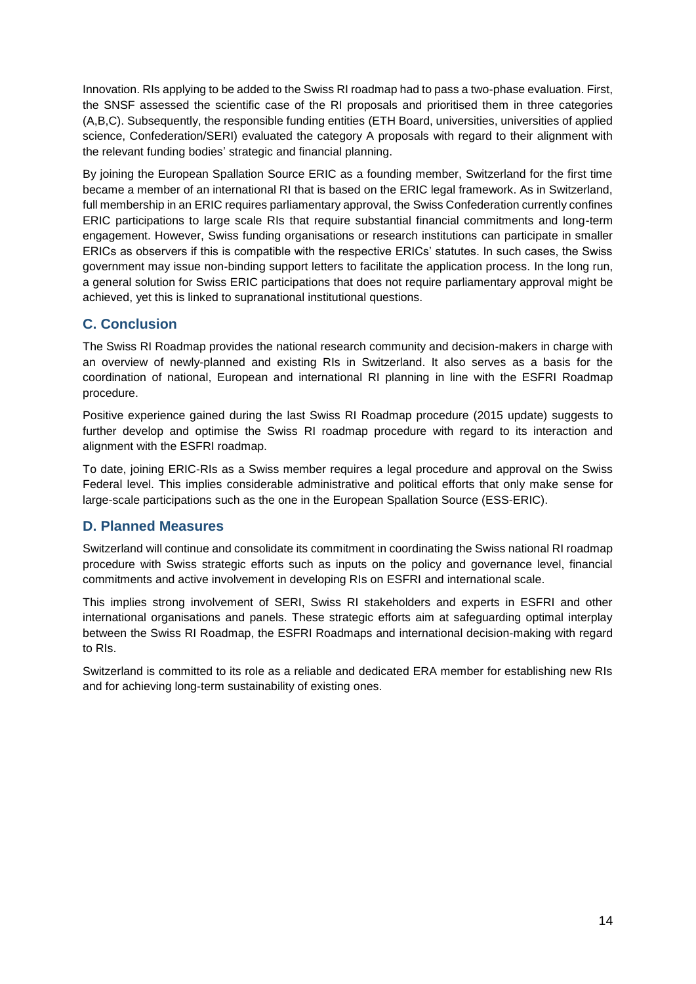Innovation. RIs applying to be added to the Swiss RI roadmap had to pass a two-phase evaluation. First, the SNSF assessed the scientific case of the RI proposals and prioritised them in three categories (A,B,C). Subsequently, the responsible funding entities (ETH Board, universities, universities of applied science, Confederation/SERI) evaluated the category A proposals with regard to their alignment with the relevant funding bodies' strategic and financial planning.

By joining the European Spallation Source ERIC as a founding member, Switzerland for the first time became a member of an international RI that is based on the ERIC legal framework. As in Switzerland, full membership in an ERIC requires parliamentary approval, the Swiss Confederation currently confines ERIC participations to large scale RIs that require substantial financial commitments and long-term engagement. However, Swiss funding organisations or research institutions can participate in smaller ERICs as observers if this is compatible with the respective ERICs' statutes. In such cases, the Swiss government may issue non-binding support letters to facilitate the application process. In the long run, a general solution for Swiss ERIC participations that does not require parliamentary approval might be achieved, yet this is linked to supranational institutional questions.

## **C. Conclusion**

The Swiss RI Roadmap provides the national research community and decision-makers in charge with an overview of newly-planned and existing RIs in Switzerland. It also serves as a basis for the coordination of national, European and international RI planning in line with the ESFRI Roadmap procedure.

Positive experience gained during the last Swiss RI Roadmap procedure (2015 update) suggests to further develop and optimise the Swiss RI roadmap procedure with regard to its interaction and alignment with the ESFRI roadmap.

To date, joining ERIC-RIs as a Swiss member requires a legal procedure and approval on the Swiss Federal level. This implies considerable administrative and political efforts that only make sense for large-scale participations such as the one in the European Spallation Source (ESS-ERIC).

# **D. Planned Measures**

Switzerland will continue and consolidate its commitment in coordinating the Swiss national RI roadmap procedure with Swiss strategic efforts such as inputs on the policy and governance level, financial commitments and active involvement in developing RIs on ESFRI and international scale.

This implies strong involvement of SERI, Swiss RI stakeholders and experts in ESFRI and other international organisations and panels. These strategic efforts aim at safeguarding optimal interplay between the Swiss RI Roadmap, the ESFRI Roadmaps and international decision-making with regard to RIs.

Switzerland is committed to its role as a reliable and dedicated ERA member for establishing new RIs and for achieving long-term sustainability of existing ones.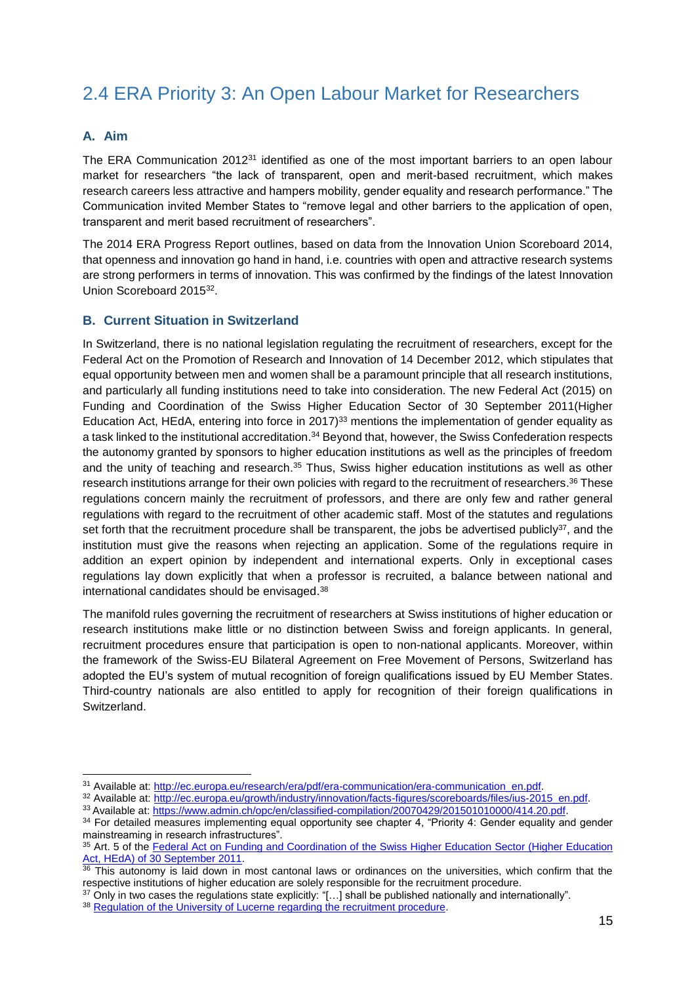# <span id="page-14-0"></span>2.4 ERA Priority 3: An Open Labour Market for Researchers

#### **A. Aim**

1

The ERA Communication 2012<sup>31</sup> identified as one of the most important barriers to an open labour market for researchers "the lack of transparent, open and merit-based recruitment, which makes research careers less attractive and hampers mobility, gender equality and research performance." The Communication invited Member States to "remove legal and other barriers to the application of open, transparent and merit based recruitment of researchers".

The 2014 ERA Progress Report outlines, based on data from the Innovation Union Scoreboard 2014, that openness and innovation go hand in hand, i.e. countries with open and attractive research systems are strong performers in terms of innovation. This was confirmed by the findings of the latest Innovation Union Scoreboard 2015<sup>32</sup>.

#### **B. Current Situation in Switzerland**

In Switzerland, there is no national legislation regulating the recruitment of researchers, except for the Federal Act on the Promotion of Research and Innovation of 14 December 2012, which stipulates that equal opportunity between men and women shall be a paramount principle that all research institutions, and particularly all funding institutions need to take into consideration. The new Federal Act (2015) on Funding and Coordination of the Swiss Higher Education Sector of 30 September 2011(Higher Education Act, HEdA, entering into force in 2017)<sup>33</sup> mentions the implementation of gender equality as a task linked to the institutional accreditation.<sup>34</sup> Beyond that, however, the Swiss Confederation respects the autonomy granted by sponsors to higher education institutions as well as the principles of freedom and the unity of teaching and research.<sup>35</sup> Thus, Swiss higher education institutions as well as other research institutions arrange for their own policies with regard to the recruitment of researchers. <sup>36</sup> These regulations concern mainly the recruitment of professors, and there are only few and rather general regulations with regard to the recruitment of other academic staff. Most of the statutes and regulations set forth that the recruitment procedure shall be transparent, the jobs be advertised publicly<sup>37</sup>, and the institution must give the reasons when rejecting an application. Some of the regulations require in addition an expert opinion by independent and international experts. Only in exceptional cases regulations lay down explicitly that when a professor is recruited, a balance between national and international candidates should be envisaged.<sup>38</sup>

The manifold rules governing the recruitment of researchers at Swiss institutions of higher education or research institutions make little or no distinction between Swiss and foreign applicants. In general, recruitment procedures ensure that participation is open to non-national applicants. Moreover, within the framework of the Swiss-EU Bilateral Agreement on Free Movement of Persons, Switzerland has adopted the EU's system of mutual recognition of foreign qualifications issued by EU Member States. Third-country nationals are also entitled to apply for recognition of their foreign qualifications in Switzerland.

<sup>&</sup>lt;sup>31</sup> Available at[: http://ec.europa.eu/research/era/pdf/era-communication/era-communication\\_en.pdf.](http://ec.europa.eu/research/era/pdf/era-communication/era-communication_en.pdf)

<sup>32</sup> Available at[: http://ec.europa.eu/growth/industry/innovation/facts-figures/scoreboards/files/ius-2015\\_en.pdf.](http://ec.europa.eu/growth/industry/innovation/facts-figures/scoreboards/files/ius-2015_en.pdf)

<sup>33</sup> Available at[: https://www.admin.ch/opc/en/classified-compilation/20070429/201501010000/414.20.pdf.](https://www.admin.ch/opc/en/classified-compilation/20070429/201501010000/414.20.pdf)

<sup>34</sup> For detailed measures implementing equal opportunity see chapter 4, "Priority 4: Gender equality and gender mainstreaming in research infrastructures".

<sup>35</sup> Art. 5 of the Federal Act on Funding and Coordination of the Swiss Higher Education Sector (Higher Education [Act, HEdA\) of 30 September 2011.](https://www.admin.ch/opc/en/classified-compilation/20070429/index.html)

 $36$  This autonomy is laid down in most cantonal laws or ordinances on the universities, which confirm that the respective institutions of higher education are solely responsible for the recruitment procedure.

 $37$  Only in two cases the regulations state explicitly: "[...] shall be published nationally and internationally".

<sup>38</sup> [Regulation of the University of Lucerne regarding the recruitment procedure.](http://srl.lu.ch/frontend/versions/1659)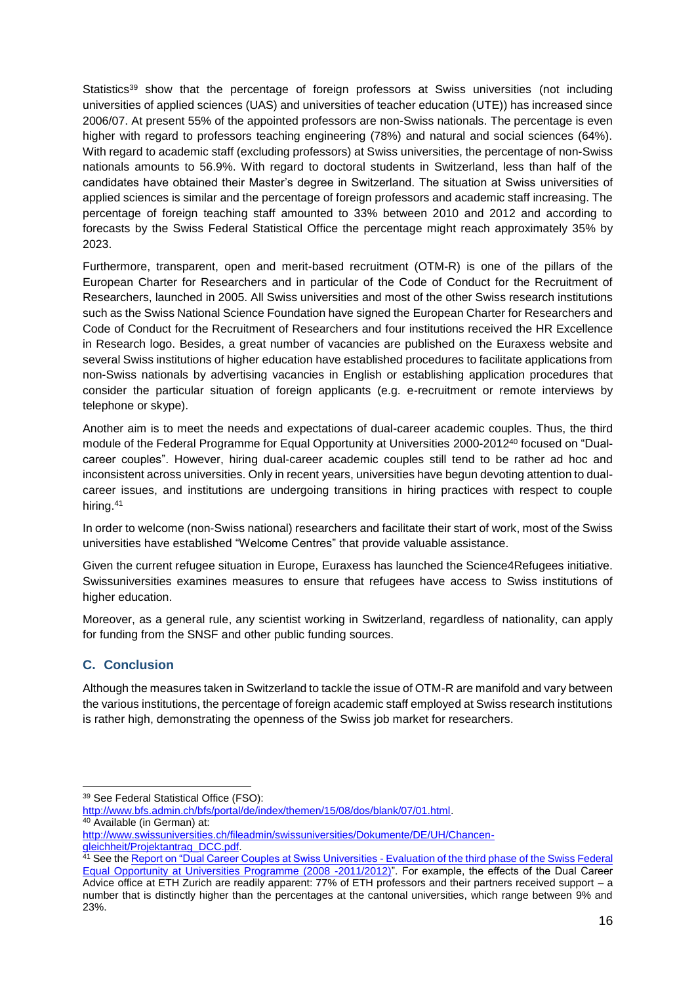Statistics<sup>39</sup> show that the percentage of foreign professors at Swiss universities (not including universities of applied sciences (UAS) and universities of teacher education (UTE)) has increased since 2006/07. At present 55% of the appointed professors are non-Swiss nationals. The percentage is even higher with regard to professors teaching engineering (78%) and natural and social sciences (64%). With regard to academic staff (excluding professors) at Swiss universities, the percentage of non-Swiss nationals amounts to 56.9%. With regard to doctoral students in Switzerland, less than half of the candidates have obtained their Master's degree in Switzerland. The situation at Swiss universities of applied sciences is similar and the percentage of foreign professors and academic staff increasing. The percentage of foreign teaching staff amounted to 33% between 2010 and 2012 and according to forecasts by the Swiss Federal Statistical Office the percentage might reach approximately 35% by 2023.

Furthermore, transparent, open and merit-based recruitment (OTM-R) is one of the pillars of the European Charter for Researchers and in particular of the Code of Conduct for the Recruitment of Researchers, launched in 2005. All Swiss universities and most of the other Swiss research institutions such as the Swiss National Science Foundation have signed the European Charter for Researchers and Code of Conduct for the Recruitment of Researchers and four institutions received the HR Excellence in Research logo. Besides, a great number of vacancies are published on the Euraxess website and several Swiss institutions of higher education have established procedures to facilitate applications from non-Swiss nationals by advertising vacancies in English or establishing application procedures that consider the particular situation of foreign applicants (e.g. e-recruitment or remote interviews by telephone or skype).

Another aim is to meet the needs and expectations of dual-career academic couples. Thus, the third module of the Federal Programme for Equal Opportunity at Universities 2000-2012<sup>40</sup> focused on "Dualcareer couples". However, hiring dual-career academic couples still tend to be rather ad hoc and inconsistent across universities. Only in recent years, universities have begun devoting attention to dualcareer issues, and institutions are undergoing transitions in hiring practices with respect to couple hiring. 41

In order to welcome (non-Swiss national) researchers and facilitate their start of work, most of the Swiss universities have established "Welcome Centres" that provide valuable assistance.

Given the current refugee situation in Europe, Euraxess has launched the Science4Refugees initiative. Swissuniversities examines measures to ensure that refugees have access to Swiss institutions of higher education.

Moreover, as a general rule, any scientist working in Switzerland, regardless of nationality, can apply for funding from the SNSF and other public funding sources.

## **C. Conclusion**

Although the measures taken in Switzerland to tackle the issue of OTM-R are manifold and vary between the various institutions, the percentage of foreign academic staff employed at Swiss research institutions is rather high, demonstrating the openness of the Swiss job market for researchers.

<sup>1</sup> <sup>39</sup> See Federal Statistical Office (FSO):

[http://www.bfs.admin.ch/bfs/portal/de/index/themen/15/08/dos/blank/07/01.html.](http://www.bfs.admin.ch/bfs/portal/de/index/themen/15/08/dos/blank/07/01.html)

<sup>40</sup> Available (in German) at:

[http://www.swissuniversities.ch/fileadmin/swissuniversities/Dokumente/DE/UH/Chancen-](http://www.swissuniversities.ch/fileadmin/swissuniversities/Dokumente/DE/UH/Chancen-gleichheit/Projektantrag_DCC.pdf)

[gleichheit/Projektantrag\\_DCC.pdf.](http://www.swissuniversities.ch/fileadmin/swissuniversities/Dokumente/DE/UH/Chancen-gleichheit/Projektantrag_DCC.pdf)

<sup>&</sup>lt;sup>41</sup> See th[e Report on "Dual Career Couples at Swiss Universities -](http://www.swissuniversities.ch/fileadmin/swissuniversities/Dokumente/DE/UH/Chancengleichheit/web_DCC_Broschu%CC%88re_e.pdf) Evaluation of the third phase of the Swiss Federal [Equal Opportunity at Universities Programme \(2008 -2011/2012\)"](http://www.swissuniversities.ch/fileadmin/swissuniversities/Dokumente/DE/UH/Chancengleichheit/web_DCC_Broschu%CC%88re_e.pdf). For example, the effects of the Dual Career Advice office at ETH Zurich are readily apparent: 77% of ETH professors and their partners received support – a number that is distinctly higher than the percentages at the cantonal universities, which range between 9% and 23%.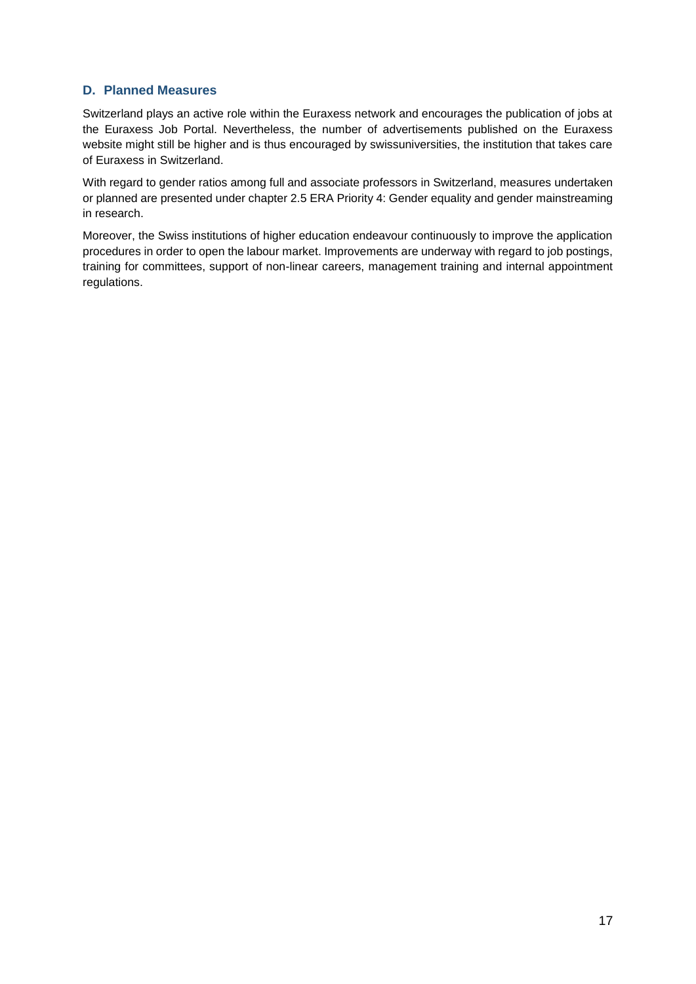#### **D. Planned Measures**

Switzerland plays an active role within the Euraxess network and encourages the publication of jobs at the Euraxess Job Portal. Nevertheless, the number of advertisements published on the Euraxess website might still be higher and is thus encouraged by swissuniversities, the institution that takes care of Euraxess in Switzerland.

With regard to gender ratios among full and associate professors in Switzerland, measures undertaken or planned are presented under chapter 2.5 ERA Priority 4: Gender equality and gender mainstreaming in research.

Moreover, the Swiss institutions of higher education endeavour continuously to improve the application procedures in order to open the labour market. Improvements are underway with regard to job postings, training for committees, support of non-linear careers, management training and internal appointment regulations.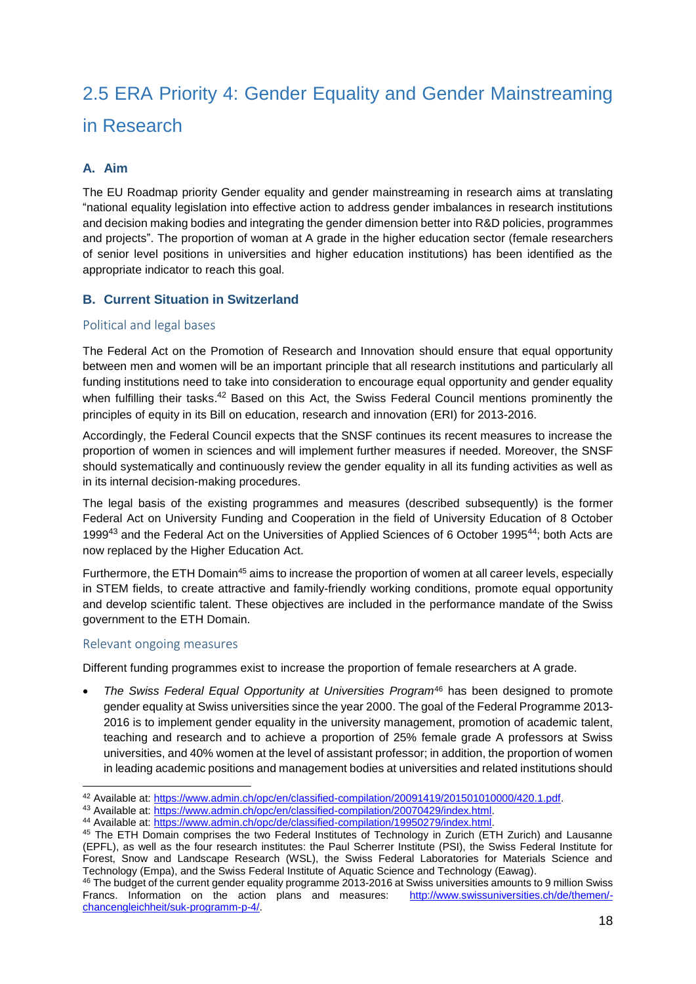# <span id="page-17-0"></span>2.5 ERA Priority 4: Gender Equality and Gender Mainstreaming in Research

## **A. Aim**

The EU Roadmap priority Gender equality and gender mainstreaming in research aims at translating "national equality legislation into effective action to address gender imbalances in research institutions and decision making bodies and integrating the gender dimension better into R&D policies, programmes and projects". The proportion of woman at A grade in the higher education sector (female researchers of senior level positions in universities and higher education institutions) has been identified as the appropriate indicator to reach this goal.

#### **B. Current Situation in Switzerland**

#### Political and legal bases

The Federal Act on the Promotion of Research and Innovation should ensure that equal opportunity between men and women will be an important principle that all research institutions and particularly all funding institutions need to take into consideration to encourage equal opportunity and gender equality when fulfilling their tasks.<sup>42</sup> Based on this Act, the Swiss Federal Council mentions prominently the principles of equity in its Bill on education, research and innovation (ERI) for 2013-2016.

Accordingly, the Federal Council expects that the SNSF continues its recent measures to increase the proportion of women in sciences and will implement further measures if needed. Moreover, the SNSF should systematically and continuously review the gender equality in all its funding activities as well as in its internal decision-making procedures.

The legal basis of the existing programmes and measures (described subsequently) is the former Federal Act on University Funding and Cooperation in the field of University Education of 8 October 1999<sup>43</sup> and the Federal Act on the Universities of Applied Sciences of 6 October 1995<sup>44</sup>; both Acts are now replaced by the Higher Education Act.

Furthermore, the ETH Domain<sup>45</sup> aims to increase the proportion of women at all career levels, especially in STEM fields, to create attractive and family-friendly working conditions, promote equal opportunity and develop scientific talent. These objectives are included in the performance mandate of the Swiss government to the ETH Domain.

#### Relevant ongoing measures

Different funding programmes exist to increase the proportion of female researchers at A grade.

 *The Swiss Federal Equal Opportunity at Universities Program*<sup>46</sup> has been designed to promote gender equality at Swiss universities since the year 2000. The goal of the Federal Programme 2013- 2016 is to implement gender equality in the university management, promotion of academic talent, teaching and research and to achieve a proportion of 25% female grade A professors at Swiss universities, and 40% women at the level of assistant professor; in addition, the proportion of women in leading academic positions and management bodies at universities and related institutions should

<sup>1</sup> <sup>42</sup> Available at[: https://www.admin.ch/opc/en/classified-compilation/20091419/201501010000/420.1.pdf.](https://www.admin.ch/opc/en/classified-compilation/20091419/201501010000/420.1.pdf)

<sup>43</sup> Available at[: https://www.admin.ch/opc/en/classified-compilation/20070429/index.html.](https://www.admin.ch/opc/en/classified-compilation/20070429/index.html)

<sup>44</sup> Available at[: https://www.admin.ch/opc/de/classified-compilation/19950279/index.html.](https://www.admin.ch/opc/de/classified-compilation/19950279/index.html)

<sup>45</sup> The ETH Domain comprises the two Federal Institutes of Technology in Zurich (ETH Zurich) and Lausanne (EPFL), as well as the four research institutes: the Paul Scherrer Institute (PSI), the Swiss Federal Institute for Forest, Snow and Landscape Research (WSL), the Swiss Federal Laboratories for Materials Science and Technology (Empa), and the Swiss Federal Institute of Aquatic Science and Technology (Eawag).

<sup>46</sup> The budget of the current gender equality programme 2013-2016 at Swiss universities amounts to 9 million Swiss Francs. Information on the action plans and measures: [http://www.swissuniversities.ch/de/themen/](http://www.swissuniversities.ch/de/themen/-chancengleichheit/suk-programm-p-4/) [chancengleichheit/suk-programm-p-4/.](http://www.swissuniversities.ch/de/themen/-chancengleichheit/suk-programm-p-4/)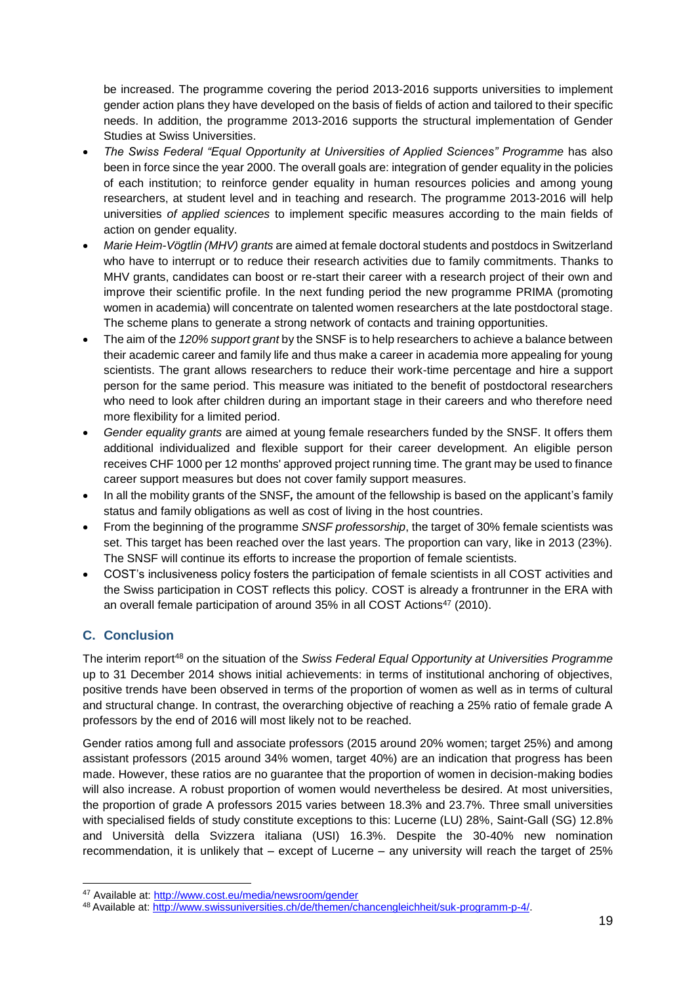be increased. The programme covering the period 2013-2016 supports universities to implement gender action plans they have developed on the basis of fields of action and tailored to their specific needs. In addition, the programme 2013-2016 supports the structural implementation of Gender Studies at Swiss Universities.

- *The Swiss Federal "Equal Opportunity at Universities of Applied Sciences" Programme* has also been in force since the year 2000. The overall goals are: integration of gender equality in the policies of each institution; to reinforce gender equality in human resources policies and among young researchers, at student level and in teaching and research. The programme 2013-2016 will help universities *of applied sciences* to implement specific measures according to the main fields of action on gender equality.
- *Marie Heim-Vögtlin (MHV) grants* are aimed at female doctoral students and postdocs in Switzerland who have to interrupt or to reduce their research activities due to family commitments. Thanks to MHV grants, candidates can boost or re-start their career with a research project of their own and improve their scientific profile. In the next funding period the new programme PRIMA (promoting women in academia) will concentrate on talented women researchers at the late postdoctoral stage. The scheme plans to generate a strong network of contacts and training opportunities.
- The aim of the *120% support grant* by the SNSF is to help researchers to achieve a balance between their academic career and family life and thus make a career in academia more appealing for young scientists. The grant allows researchers to reduce their work-time percentage and hire a support person for the same period. This measure was initiated to the benefit of postdoctoral researchers who need to look after children during an important stage in their careers and who therefore need more flexibility for a limited period.
- *Gender equality grants* are aimed at young female researchers funded by the SNSF. It offers them additional individualized and flexible support for their career development. An eligible person receives CHF 1000 per 12 months' approved project running time. The grant may be used to finance career support measures but does not cover family support measures.
- In all the mobility grants of the SNSF*,* the amount of the fellowship is based on the applicant's family status and family obligations as well as cost of living in the host countries.
- From the beginning of the programme *SNSF professorship*, the target of 30% female scientists was set. This target has been reached over the last years. The proportion can vary, like in 2013 (23%). The SNSF will continue its efforts to increase the proportion of female scientists.
- COST's inclusiveness policy fosters the participation of female scientists in all COST activities and the Swiss participation in COST reflects this policy. COST is already a frontrunner in the ERA with an overall female participation of around 35% in all COST Actions<sup>47</sup> (2010).

## **C. Conclusion**

-

The interim report<sup>48</sup> on the situation of the *Swiss Federal Equal Opportunity at Universities Programme* up to 31 December 2014 shows initial achievements: in terms of institutional anchoring of objectives, positive trends have been observed in terms of the proportion of women as well as in terms of cultural and structural change. In contrast, the overarching objective of reaching a 25% ratio of female grade A professors by the end of 2016 will most likely not to be reached.

Gender ratios among full and associate professors (2015 around 20% women; target 25%) and among assistant professors (2015 around 34% women, target 40%) are an indication that progress has been made. However, these ratios are no guarantee that the proportion of women in decision-making bodies will also increase. A robust proportion of women would nevertheless be desired. At most universities, the proportion of grade A professors 2015 varies between 18.3% and 23.7%. Three small universities with specialised fields of study constitute exceptions to this: Lucerne (LU) 28%, Saint-Gall (SG) 12.8% and Università della Svizzera italiana (USI) 16.3%. Despite the 30-40% new nomination recommendation, it is unlikely that – except of Lucerne – any university will reach the target of 25%

<sup>47</sup> Available at[: http://www.cost.eu/media/newsroom/gender](http://www.cost.eu/media/newsroom/gender)

<sup>48</sup> Available at[: http://www.swissuniversities.ch/de/themen/chancengleichheit/suk-programm-p-4/.](http://www.swissuniversities.ch/de/themen/chancengleichheit/suk-programm-p-4/)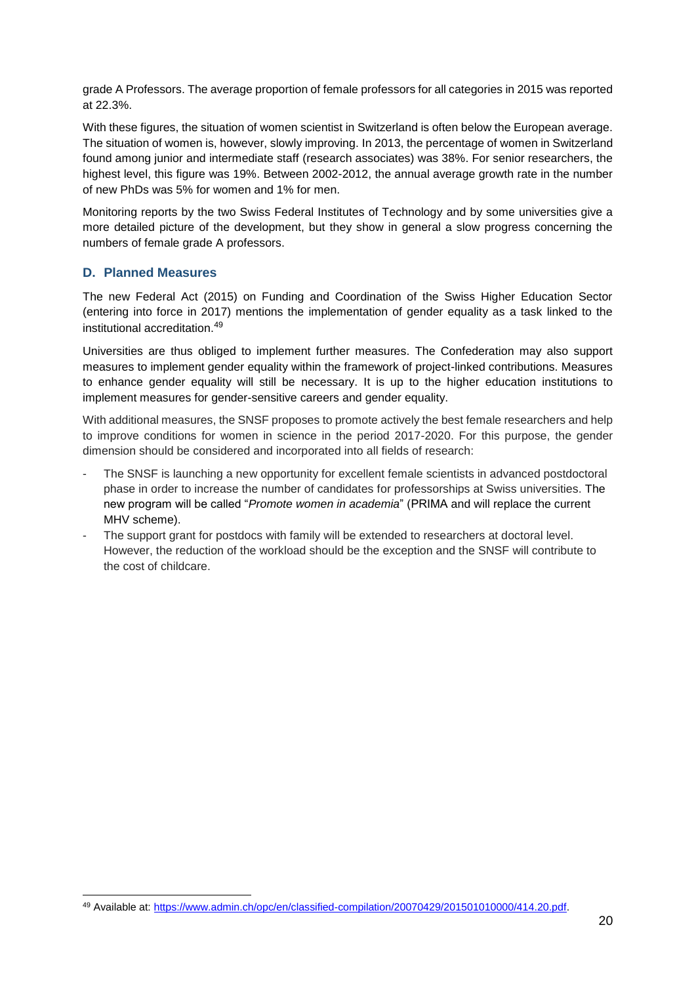grade A Professors. The average proportion of female professors for all categories in 2015 was reported at 22.3%.

With these figures, the situation of women scientist in Switzerland is often below the European average. The situation of women is, however, slowly improving. In 2013, the percentage of women in Switzerland found among junior and intermediate staff (research associates) was 38%. For senior researchers, the highest level, this figure was 19%. Between 2002-2012, the annual average growth rate in the number of new PhDs was 5% for women and 1% for men.

Monitoring reports by the two Swiss Federal Institutes of Technology and by some universities give a more detailed picture of the development, but they show in general a slow progress concerning the numbers of female grade A professors.

#### **D. Planned Measures**

 $\overline{a}$ 

The new Federal Act (2015) on Funding and Coordination of the Swiss Higher Education Sector (entering into force in 2017) mentions the implementation of gender equality as a task linked to the institutional accreditation. 49

Universities are thus obliged to implement further measures. The Confederation may also support measures to implement gender equality within the framework of project-linked contributions. Measures to enhance gender equality will still be necessary. It is up to the higher education institutions to implement measures for gender-sensitive careers and gender equality.

With additional measures, the SNSF proposes to promote actively the best female researchers and help to improve conditions for women in science in the period 2017-2020. For this purpose, the gender dimension should be considered and incorporated into all fields of research:

- The SNSF is launching a new opportunity for excellent female scientists in advanced postdoctoral phase in order to increase the number of candidates for professorships at Swiss universities. The new program will be called "*Promote women in academia*" (PRIMA and will replace the current MHV scheme).
- The support grant for postdocs with family will be extended to researchers at doctoral level. However, the reduction of the workload should be the exception and the SNSF will contribute to the cost of childcare.

<sup>49</sup> Available at[: https://www.admin.ch/opc/en/classified-compilation/20070429/201501010000/414.20.pdf.](https://www.admin.ch/opc/en/classified-compilation/20070429/201501010000/414.20.pdf)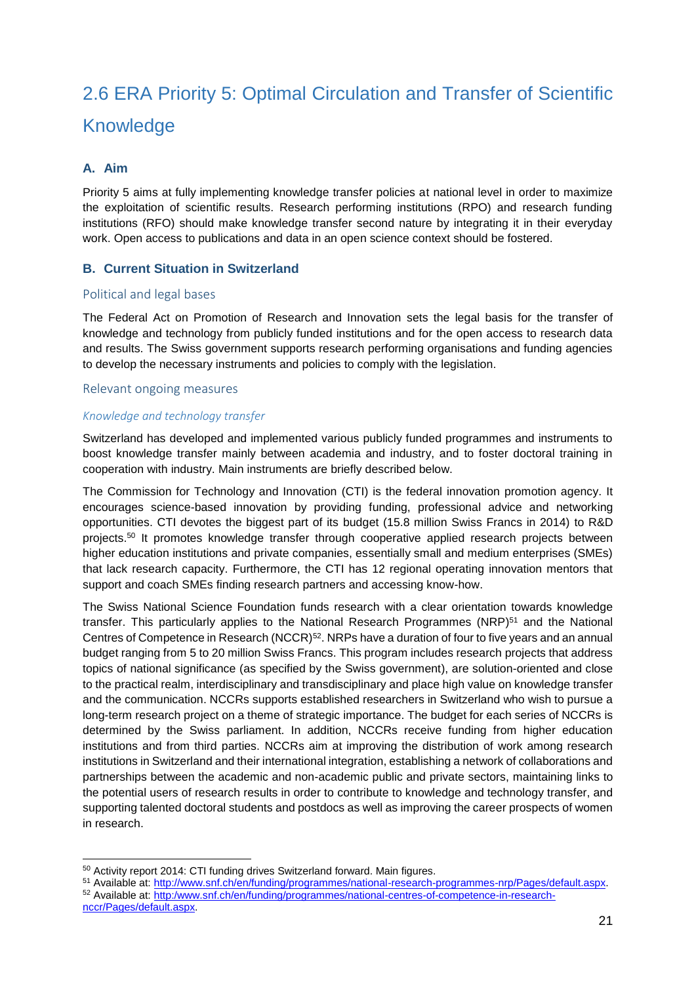# <span id="page-20-0"></span>2.6 ERA Priority 5: Optimal Circulation and Transfer of Scientific Knowledge

## **A. Aim**

Priority 5 aims at fully implementing knowledge transfer policies at national level in order to maximize the exploitation of scientific results. Research performing institutions (RPO) and research funding institutions (RFO) should make knowledge transfer second nature by integrating it in their everyday work. Open access to publications and data in an open science context should be fostered.

#### **B. Current Situation in Switzerland**

#### Political and legal bases

The Federal Act on Promotion of Research and Innovation sets the legal basis for the transfer of knowledge and technology from publicly funded institutions and for the open access to research data and results. The Swiss government supports research performing organisations and funding agencies to develop the necessary instruments and policies to comply with the legislation.

#### Relevant ongoing measures

#### *Knowledge and technology transfer*

Switzerland has developed and implemented various publicly funded programmes and instruments to boost knowledge transfer mainly between academia and industry, and to foster doctoral training in cooperation with industry. Main instruments are briefly described below.

The Commission for Technology and Innovation (CTI) is the federal innovation promotion agency. It encourages science-based innovation by providing funding, professional advice and networking opportunities. CTI devotes the biggest part of its budget (15.8 million Swiss Francs in 2014) to R&D projects. <sup>50</sup> It promotes knowledge transfer through cooperative applied research projects between higher education institutions and private companies, essentially small and medium enterprises (SMEs) that lack research capacity. Furthermore, the CTI has 12 regional operating innovation mentors that support and coach SMEs finding research partners and accessing know-how.

The Swiss National Science Foundation funds research with a clear orientation towards knowledge transfer. This particularly applies to the National Research Programmes (NRP)<sup>51</sup> and the National Centres of Competence in Research (NCCR)<sup>52</sup>. NRPs have a duration of four to five years and an annual budget ranging from 5 to 20 million Swiss Francs. This program includes research projects that address topics of national significance (as specified by the Swiss government), are solution-oriented and close to the practical realm, interdisciplinary and transdisciplinary and place high value on knowledge transfer and the communication. NCCRs supports established researchers in Switzerland who wish to pursue a long-term research project on a theme of strategic importance. The budget for each series of NCCRs is determined by the Swiss parliament. In addition, NCCRs receive funding from higher education institutions and from third parties. NCCRs aim at improving the distribution of work among research institutions in Switzerland and their international integration, establishing a network of collaborations and partnerships between the academic and non-academic public and private sectors, maintaining links to the potential users of research results in order to contribute to knowledge and technology transfer, and supporting talented doctoral students and postdocs as well as improving the career prospects of women in research.

<sup>-</sup><sup>50</sup> Activity report 2014: CTI funding drives Switzerland forward. Main figures.

<sup>51</sup> Available at: [http://www.snf.ch/en/funding/programmes/national-research-programmes-nrp/Pages/default.aspx.](http://www.snf.ch/en/funding/programmes/national-research-programmes-nrp/Pages/default.aspx) <sup>52</sup> Available at: [http:/www.snf.ch/en/funding/programmes/national-centres-of-competence-in-research-](http://www.snf.ch/en/funding/programmes/national-centres-of-competence-in-research-nccr/Pages/default.aspxAvailable%20at:%20http:/www.snf.ch/en/funding/programmes/national-centres-of-competence-in-research-nccr/Pages/default.aspx)

[nccr/Pages/default.aspx.](http://www.snf.ch/en/funding/programmes/national-centres-of-competence-in-research-nccr/Pages/default.aspxAvailable%20at:%20http:/www.snf.ch/en/funding/programmes/national-centres-of-competence-in-research-nccr/Pages/default.aspx)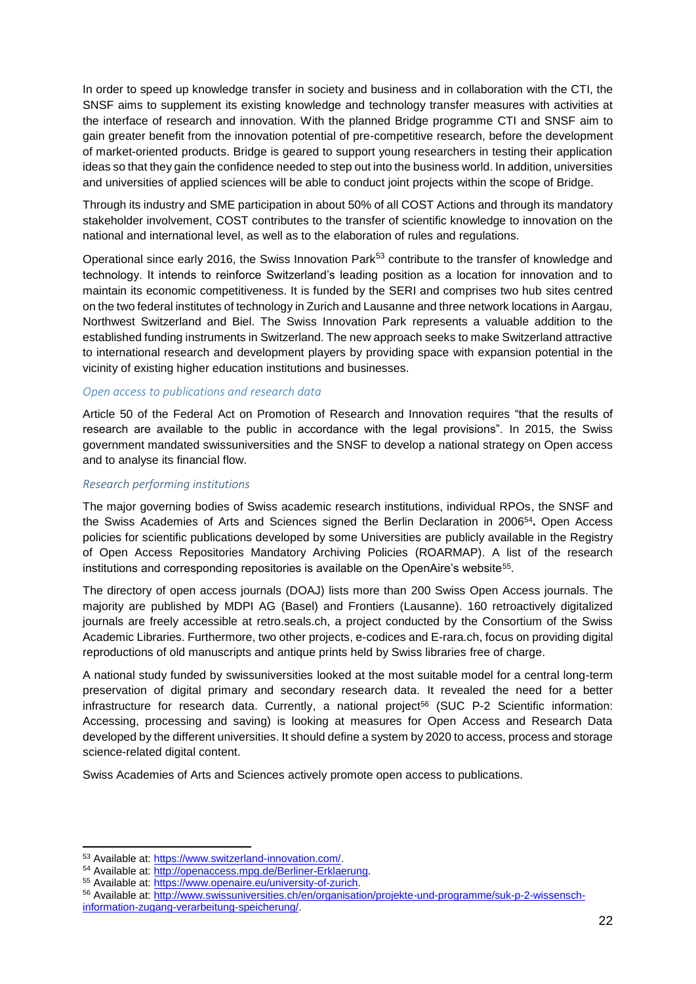In order to speed up knowledge transfer in society and business and in collaboration with the CTI, the SNSF aims to supplement its existing knowledge and technology transfer measures with activities at the interface of research and innovation. With the planned Bridge programme CTI and SNSF aim to gain greater benefit from the innovation potential of pre-competitive research, before the development of market-oriented products. Bridge is geared to support young researchers in testing their application ideas so that they gain the confidence needed to step out into the business world. In addition, universities and universities of applied sciences will be able to conduct joint projects within the scope of Bridge.

Through its industry and SME participation in about 50% of all COST Actions and through its mandatory stakeholder involvement, COST contributes to the transfer of scientific knowledge to innovation on the national and international level, as well as to the elaboration of rules and regulations.

Operational since early 2016, the Swiss Innovation Park<sup>53</sup> contribute to the transfer of knowledge and technology. It intends to reinforce Switzerland's leading position as a location for innovation and to maintain its economic competitiveness. It is funded by the SERI and comprises two hub sites centred on the two federal institutes of technology in Zurich and Lausanne and three network locations in Aargau, Northwest Switzerland and Biel. The Swiss Innovation Park represents a valuable addition to the established funding instruments in Switzerland. The new approach seeks to make Switzerland attractive to international research and development players by providing space with expansion potential in the vicinity of existing higher education institutions and businesses.

#### *Open access to publications and research data*

Article 50 of the Federal Act on Promotion of Research and Innovation requires "that the results of research are available to the public in accordance with the legal provisions". In 2015, the Swiss government mandated swissuniversities and the SNSF to develop a national strategy on Open access and to analyse its financial flow.

#### *Research performing institutions*

The major governing bodies of Swiss academic research institutions, individual RPOs, the SNSF and the Swiss Academies of Arts and Sciences signed the [Berlin Declaration](http://oa.mpg.de/lang/de/berlin-prozess/berliner-erklarung/) in 2006<sup>54</sup> **.** Open Access policies for scientific publications developed by some Universities are publicly available in the [Registry](http://roarmap.eprints.org/view/country/756.html)  [of Open Access Repositories Mandatory Archiving Policies](http://roarmap.eprints.org/view/country/756.html) (ROARMAP). A list of the research institutions and corresponding repositories is available on the OpenAire's website<sup>55</sup>.

The directory of open access journals (DOAJ) lists more than [200 Swiss Open Access journals.](http://doaj.org/search?source=%7b%22query%22:%7b%22filtered%22:%7b%22query%22:%7b%22match_all%22:%7b%7d%7d,%22filter%22:%7b%22bool%22:%7b%22must%22:%5b%7b%22term%22:%7b%22index.country.exact%22:%22Switzerland%22%7d%7d,%7b%22term%22:%7b%22_type%22:%22journal%22%7d%7d%5d%7d%7d%7d%7d%7d) The majority are published b[y](http://www.mdpi.com/about/) [MDPI AG](http://www.mdpi.com/about/) [\(](http://www.mdpi.com/about/)Basel) an[d](http://www.frontiersin.org/about/journalseries) [Frontiers](http://www.frontiersin.org/about/journalseries) [\(](http://www.frontiersin.org/about/journalseries)Lausanne). 160 retroactively digitalized journals are freely accessible at [retro.seals.ch,](http://retro.seals.ch/) a project conducted by the Consortium of the Swiss Academic Libraries. Furthermore, two other projects, e-codices and E-rara.ch, focus on providing digital reproductions of old manuscripts and antique prints held by Swiss libraries free of charge.

A national study funded by swissuniversities looked at the most suitable model for a central long-term preservation of digital primary and secondary research data. It revealed the need for a better  $infrastructure$  for research data. Currently, a national project<sup>56</sup> (SUC P-2 Scientific information: Accessing, processing and saving) is looking at measures for Open Access and Research Data developed by the different universities. It should define a system by 2020 to access, process and storage science-related digital content.

Swiss Academies of Arts and Sciences actively promote open access to publications.

1

<sup>53</sup> Available at[: https://www.switzerland-innovation.com/.](https://www.switzerland-innovation.com/)

<sup>54</sup> Available at[: http://openaccess.mpg.de/Berliner-Erklaerung.](http://openaccess.mpg.de/Berliner-Erklaerung)

<sup>55</sup> Available at: [https://www.openaire.eu/university-of-zurich.](https://www.openaire.eu/university-of-zurich)

<sup>56</sup> Available at[: http://www.swissuniversities.ch/en/organisation/projekte-und-programme/suk-p-2-wissensch](http://www.swissuniversities.ch/en/organisation/projekte-und-programme/suk-p-2-wissensch-information-zugang-verarbeitung-speicherung/)[information-zugang-verarbeitung-speicherung/.](http://www.swissuniversities.ch/en/organisation/projekte-und-programme/suk-p-2-wissensch-information-zugang-verarbeitung-speicherung/)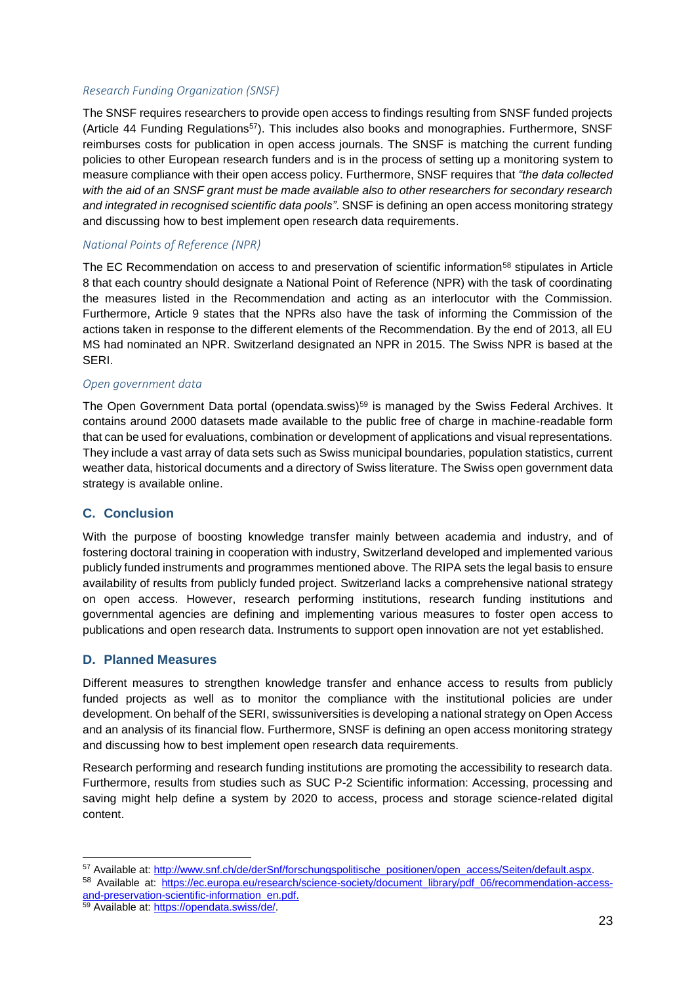#### *Research Funding Organization (SNSF)*

The SNSF requires researchers to provide open access to findings resulting from SNSF funded projects (Article 44 Funding Regulations<sup>57</sup>). This includes also books and monographies. Furthermore, SNSF reimburses costs for publication in open access journals. The SNSF is matching the current funding policies to other European research funders and is in the process of setting up a monitoring system to measure compliance with their open access policy. Furthermore, SNSF requires that *"the data collected with the aid of an SNSF grant must be made available also to other researchers for secondary research and integrated in recognised scientific data pools"*. SNSF is defining an open access monitoring strategy and discussing how to best implement open research data requirements.

#### *National Points of Reference (NPR)*

The EC Recommendation on access to and preservation of scientific information<sup>58</sup> stipulates in Article 8 that each country should designate a National Point of Reference (NPR) with the task of coordinating the measures listed in the Recommendation and acting as an interlocutor with the Commission. Furthermore, Article 9 states that the NPRs also have the task of informing the Commission of the actions taken in response to the different elements of the Recommendation. By the end of 2013, all EU MS had nominated an NPR. Switzerland designated an NPR in 2015. The Swiss NPR is based at the SERI.

#### *Open government data*

The Open Government Data portal (opendata.swiss)<sup>59</sup> is managed by the Swiss Federal Archives. It contains around 2000 datasets made available to the public free of charge in machine-readable form that can be used for evaluations, combination or development of applications and visual representations. They include a vast array of data sets such as Swiss municipal boundaries, population statistics, current weather data, historical documents and a directory of Swiss literature. The Swiss open government data strategy is available online.

#### **C. Conclusion**

With the purpose of boosting knowledge transfer mainly between academia and industry, and of fostering doctoral training in cooperation with industry, Switzerland developed and implemented various publicly funded instruments and programmes mentioned above. The RIPA sets the legal basis to ensure availability of results from publicly funded project. Switzerland lacks a comprehensive national strategy on open access. However, research performing institutions, research funding institutions and governmental agencies are defining and implementing various measures to foster open access to publications and open research data. Instruments to support open innovation are not yet established.

#### **D. Planned Measures**

1

Different measures to strengthen knowledge transfer and enhance access to results from publicly funded projects as well as to monitor the compliance with the institutional policies are under development. On behalf of the SERI, swissuniversities is developing a national strategy on Open Access and an analysis of its financial flow. Furthermore, SNSF is defining an open access monitoring strategy and discussing how to best implement open research data requirements.

Research performing and research funding institutions are promoting the accessibility to research data. Furthermore, results from studies such as SUC P-2 Scientific information: Accessing, processing and saving might help define a system by 2020 to access, process and storage science-related digital content.

<sup>57</sup> Available at[: http://www.snf.ch/de/derSnf/forschungspolitische\\_positionen/open\\_access/Seiten/default.aspx.](http://www.snf.ch/de/derSnf/forschungspolitische_positionen/open_access/Seiten/default.aspx)

<sup>58</sup> Available at: [https://ec.europa.eu/research/science-society/document\\_library/pdf\\_06/recommendation-access](https://ec.europa.eu/research/science-society/document_library/pdf_06/recommendation-access-and-preservation-scientific-information_en.pdf)[and-preservation-scientific-information\\_en.pdf.](https://ec.europa.eu/research/science-society/document_library/pdf_06/recommendation-access-and-preservation-scientific-information_en.pdf)

<sup>59</sup> Available at[: https://opendata.swiss/de/.](https://opendata.swiss/de/)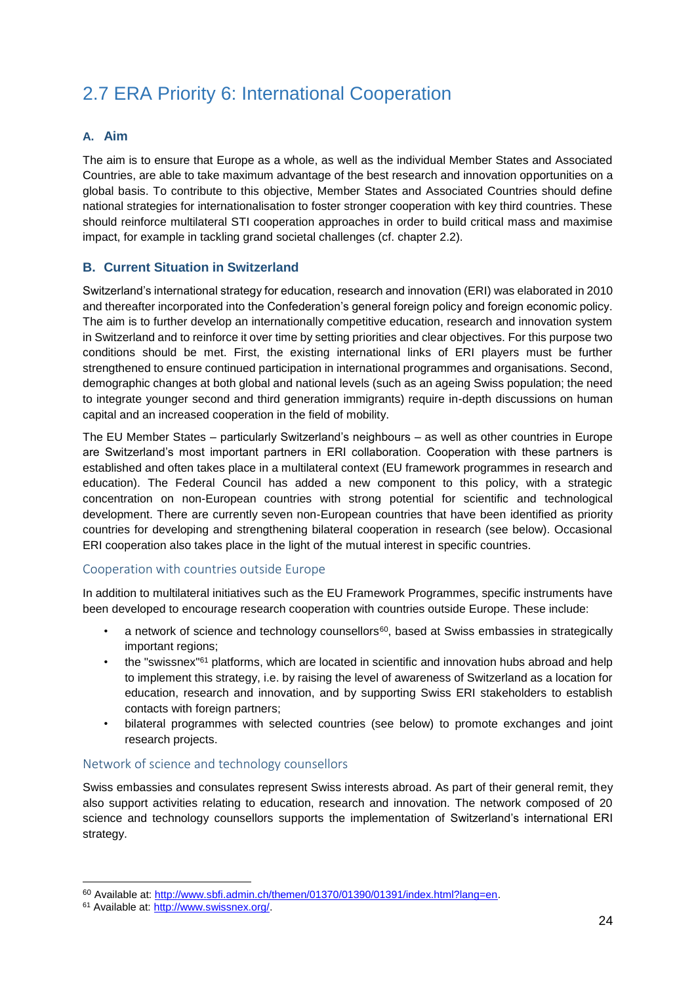# <span id="page-23-0"></span>2.7 ERA Priority 6: International Cooperation

#### **A. Aim**

The aim is to ensure that Europe as a whole, as well as the individual Member States and Associated Countries, are able to take maximum advantage of the best research and innovation opportunities on a global basis. To contribute to this objective, Member States and Associated Countries should define national strategies for internationalisation to foster stronger cooperation with key third countries. These should reinforce multilateral STI cooperation approaches in order to build critical mass and maximise impact, for example in tackling grand societal challenges (cf. chapter 2.2).

#### **B. Current Situation in Switzerland**

Switzerland's international strategy for education, research and innovation (ERI) was elaborated in 2010 and thereafter incorporated into the Confederation's general foreign policy and foreign economic policy. The aim is to further develop an internationally competitive education, research and innovation system in Switzerland and to reinforce it over time by setting priorities and clear objectives. For this purpose two conditions should be met. First, the existing international links of ERI players must be further strengthened to ensure continued participation in international programmes and organisations. Second, demographic changes at both global and national levels (such as an ageing Swiss population; the need to integrate younger second and third generation immigrants) require in-depth discussions on human capital and an increased cooperation in the field of mobility.

The EU Member States – particularly Switzerland's neighbours – as well as other countries in Europe are Switzerland's most important partners in ERI collaboration. Cooperation with these partners is established and often takes place in a multilateral context (EU framework programmes in research and education). The Federal Council has added a new component to this policy, with a strategic concentration on non-European countries with strong potential for scientific and technological development. There are currently seven non-European countries that have been identified as priority countries for developing and strengthening bilateral cooperation in research (see below). Occasional ERI cooperation also takes place in the light of the mutual interest in specific countries.

#### Cooperation with countries outside Europe

In addition to multilateral initiatives such as the EU Framework Programmes, specific instruments have been developed to encourage research cooperation with countries outside Europe. These include:

- a network of science and technology counsellors<sup>60</sup>, based at Swiss embassies in strategically important regions:
- the "swissnex"<sup>61</sup> platforms, which are located in scientific and innovation hubs abroad and help to implement this strategy, i.e. by raising the level of awareness of Switzerland as a location for education, research and innovation, and by supporting Swiss ERI stakeholders to establish contacts with foreign partners;
- bilateral programmes with selected countries (see below) to promote exchanges and joint research projects.

#### Network of science and technology counsellors

Swiss embassies and consulates represent Swiss interests abroad. As part of their general remit, they also support activities relating to education, research and innovation. The network composed of 20 science and technology counsellors supports the implementation of Switzerland's international ERI strategy.

-

<sup>60</sup> Available at: [http://www.sbfi.admin.ch/themen/01370/01390/01391/index.html?lang=en.](http://www.sbfi.admin.ch/themen/01370/01390/01391/index.html?lang=en)

<sup>61</sup> Available at[: http://www.swissnex.org/.](http://www.swissnex.org/)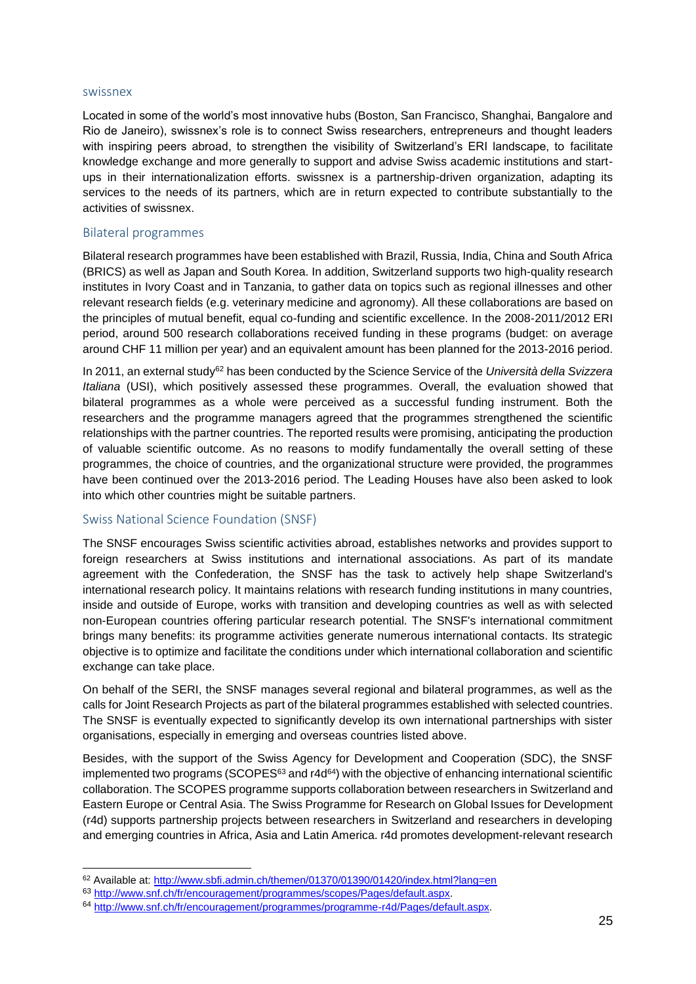#### swissnex

1

Located in some of the world's most innovative hubs (Boston, San Francisco, Shanghai, Bangalore and Rio de Janeiro), swissnex's role is to connect Swiss researchers, entrepreneurs and thought leaders with inspiring peers abroad, to strengthen the visibility of Switzerland's ERI landscape, to facilitate knowledge exchange and more generally to support and advise Swiss academic institutions and startups in their internationalization efforts. swissnex is a partnership-driven organization, adapting its services to the needs of its partners, which are in return expected to contribute substantially to the activities of swissnex.

#### Bilateral programmes

Bilateral research programmes have been established with Brazil, Russia, India, China and South Africa (BRICS) as well as Japan and South Korea. In addition, Switzerland supports two high-quality research institutes in Ivory Coast and in Tanzania, to gather data on topics such as regional illnesses and other relevant research fields (e.g. veterinary medicine and agronomy). All these collaborations are based on the principles of mutual benefit, equal co-funding and scientific excellence. In the 2008-2011/2012 ERI period, around 500 research collaborations received funding in these programs (budget: on average around CHF 11 million per year) and an equivalent amount has been planned for the 2013-2016 period.

In 2011, an external study<sup>62</sup> has been conducted by the Science Service of the *Università della Svizzera Italiana* (USI), which positively assessed these programmes. Overall, the evaluation showed that bilateral programmes as a whole were perceived as a successful funding instrument. Both the researchers and the programme managers agreed that the programmes strengthened the scientific relationships with the partner countries. The reported results were promising, anticipating the production of valuable scientific outcome. As no reasons to modify fundamentally the overall setting of these programmes, the choice of countries, and the organizational structure were provided, the programmes have been continued over the 2013-2016 period. The Leading Houses have also been asked to look into which other countries might be suitable partners.

#### Swiss National Science Foundation (SNSF)

The SNSF encourages Swiss scientific activities abroad, establishes networks and provides support to foreign researchers at Swiss institutions and international associations. As part of its mandate agreement with the Confederation, the SNSF has the task to actively help shape Switzerland's international research policy. It maintains relations with research funding institutions in many countries, inside and outside of Europe, works with transition and developing countries as well as with selected non-European countries offering particular research potential. The SNSF's international commitment brings many benefits: its programme activities generate numerous international contacts. Its strategic objective is to optimize and facilitate the conditions under which international collaboration and scientific exchange can take place.

On behalf of the SERI, the SNSF manages several regional and bilateral programmes, as well as the calls for Joint Research Projects as part of the bilateral programmes established with selected countries. The SNSF is eventually expected to significantly develop its own international partnerships with sister organisations, especially in emerging and overseas countries listed above.

Besides, with the support of the Swiss Agency for Development and Cooperation (SDC), the SNSF implemented two programs (SCOPES $63$  and r4d $64$ ) with the objective of enhancing international scientific collaboration. The SCOPES programme supports collaboration between researchers in Switzerland and Eastern Europe or Central Asia. The Swiss Programme for Research on Global Issues for Development (r4d) supports partnership projects between researchers in Switzerland and researchers in developing and emerging countries in Africa, Asia and Latin America. r4d promotes development-relevant research

<sup>62</sup> Available at[: http://www.sbfi.admin.ch/themen/01370/01390/01420/index.html?lang=en](http://www.sbfi.admin.ch/themen/01370/01390/01420/index.html?lang=en)

<sup>63</sup> [http://www.snf.ch/fr/encouragement/programmes/scopes/Pages/default.aspx.](http://www.snf.ch/fr/encouragement/programmes/scopes/Pages/default.aspx)

<sup>64</sup> [http://www.snf.ch/fr/encouragement/programmes/programme-r4d/Pages/default.aspx.](http://www.snf.ch/fr/encouragement/programmes/programme-r4d/Pages/default.aspx)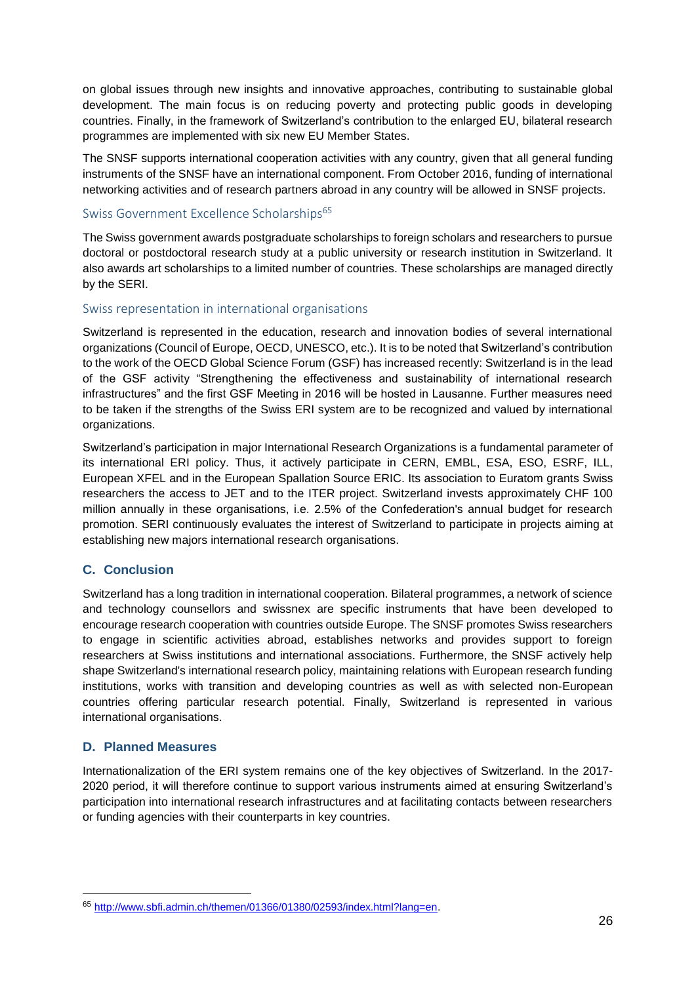on global issues through new insights and innovative approaches, contributing to sustainable global development. The main focus is on reducing poverty and protecting public goods in developing countries. Finally, in the framework of Switzerland's contribution to the enlarged EU, bilateral research programmes are implemented with six new EU Member States.

The SNSF supports international cooperation activities with any country, given that all general funding instruments of the SNSF have an international component. From October 2016, funding of international networking activities and of research partners abroad in any country will be allowed in SNSF projects.

#### Swiss Government Excellence Scholarships<sup>65</sup>

The Swiss government awards postgraduate scholarships to foreign scholars and researchers to pursue doctoral or postdoctoral research study at a public university or research institution in Switzerland. It also awards art scholarships to a limited number of countries. These scholarships are managed directly by the SERI.

#### Swiss representation in international organisations

Switzerland is represented in the education, research and innovation bodies of several international organizations (Council of Europe, OECD, UNESCO, etc.). It is to be noted that Switzerland's contribution to the work of the OECD Global Science Forum (GSF) has increased recently: Switzerland is in the lead of the GSF activity "Strengthening the effectiveness and sustainability of international research infrastructures" and the first GSF Meeting in 2016 will be hosted in Lausanne. Further measures need to be taken if the strengths of the Swiss ERI system are to be recognized and valued by international organizations.

Switzerland's participation in major International Research Organizations is a fundamental parameter of its international ERI policy. Thus, it actively participate in CERN, EMBL, ESA, ESO, ESRF, ILL, European XFEL and in the European Spallation Source ERIC. Its association to Euratom grants Swiss researchers the access to JET and to the ITER project. Switzerland invests approximately CHF 100 million annually in these organisations, i.e. 2.5% of the Confederation's annual budget for research promotion. SERI continuously evaluates the interest of Switzerland to participate in projects aiming at establishing new majors international research organisations.

## **C. Conclusion**

Switzerland has a long tradition in international cooperation. Bilateral programmes, a network of science and technology counsellors and swissnex are specific instruments that have been developed to encourage research cooperation with countries outside Europe. The SNSF promotes Swiss researchers to engage in scientific activities abroad, establishes networks and provides support to foreign researchers at Swiss institutions and international associations. Furthermore, the SNSF actively help shape Switzerland's international research policy, maintaining relations with European research funding institutions, works with transition and developing countries as well as with selected non-European countries offering particular research potential. Finally, Switzerland is represented in various international organisations.

#### **D. Planned Measures**

1

Internationalization of the ERI system remains one of the key objectives of Switzerland. In the 2017- 2020 period, it will therefore continue to support various instruments aimed at ensuring Switzerland's participation into international research infrastructures and at facilitating contacts between researchers or funding agencies with their counterparts in key countries.

<sup>65</sup> [http://www.sbfi.admin.ch/themen/01366/01380/02593/index.html?lang=en.](http://www.sbfi.admin.ch/themen/01366/01380/02593/index.html?lang=en)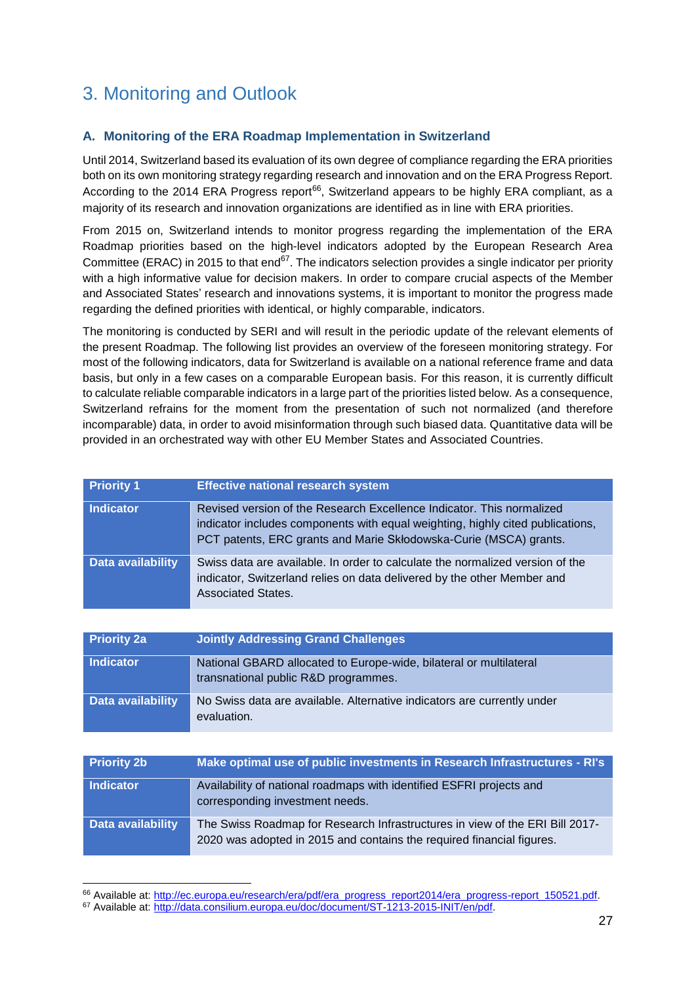# <span id="page-26-0"></span>3. Monitoring and Outlook

## **A. Monitoring of the ERA Roadmap Implementation in Switzerland**

Until 2014, Switzerland based its evaluation of its own degree of compliance regarding the ERA priorities both on its own monitoring strategy regarding research and innovation and on the ERA Progress Report. According to the 2014 ERA Progress report<sup>66</sup>, Switzerland appears to be highly ERA compliant, as a majority of its research and innovation organizations are identified as in line with ERA priorities.

From 2015 on, Switzerland intends to monitor progress regarding the implementation of the ERA Roadmap priorities based on the high-level indicators adopted by the European Research Area Committee (ERAC) in 2015 to that end<sup>67</sup>. The indicators selection provides a single indicator per priority with a high informative value for decision makers. In order to compare crucial aspects of the Member and Associated States' research and innovations systems, it is important to monitor the progress made regarding the defined priorities with identical, or highly comparable, indicators.

The monitoring is conducted by SERI and will result in the periodic update of the relevant elements of the present Roadmap. The following list provides an overview of the foreseen monitoring strategy. For most of the following indicators, data for Switzerland is available on a national reference frame and data basis, but only in a few cases on a comparable European basis. For this reason, it is currently difficult to calculate reliable comparable indicators in a large part of the priorities listed below. As a consequence, Switzerland refrains for the moment from the presentation of such not normalized (and therefore incomparable) data, in order to avoid misinformation through such biased data. Quantitative data will be provided in an orchestrated way with other EU Member States and Associated Countries.

| <b>Priority 1</b> | <b>Effective national research system</b>                                                                                                                                                                                    |
|-------------------|------------------------------------------------------------------------------------------------------------------------------------------------------------------------------------------------------------------------------|
| <b>Indicator</b>  | Revised version of the Research Excellence Indicator. This normalized<br>indicator includes components with equal weighting, highly cited publications,<br>PCT patents, ERC grants and Marie Skłodowska-Curie (MSCA) grants. |
| Data availability | Swiss data are available. In order to calculate the normalized version of the<br>indicator, Switzerland relies on data delivered by the other Member and<br><b>Associated States.</b>                                        |

| <b>Priority 2a</b> | <b>Jointly Addressing Grand Challenges</b>                                                                 |
|--------------------|------------------------------------------------------------------------------------------------------------|
| Indicator          | National GBARD allocated to Europe-wide, bilateral or multilateral<br>transnational public R&D programmes. |
| Data availability  | No Swiss data are available. Alternative indicators are currently under<br>evaluation.                     |

| <b>Priority 2b</b> | Make optimal use of public investments in Research Infrastructures - RI's                                                                             |
|--------------------|-------------------------------------------------------------------------------------------------------------------------------------------------------|
| <b>Indicator</b>   | Availability of national roadmaps with identified ESFRI projects and<br>corresponding investment needs.                                               |
| Data availability  | The Swiss Roadmap for Research Infrastructures in view of the ERI Bill 2017-<br>2020 was adopted in 2015 and contains the required financial figures. |

<sup>66</sup> Available at[: http://ec.europa.eu/research/era/pdf/era\\_progress\\_report2014/era\\_progress-report\\_150521.pdf.](http://ec.europa.eu/research/era/pdf/era_progress_report2014/era_progress-report_150521.pdf)

-

<sup>67</sup> Available at[: http://data.consilium.europa.eu/doc/document/ST-1213-2015-INIT/en/pdf.](http://data.consilium.europa.eu/doc/document/ST-1213-2015-INIT/en/pdf)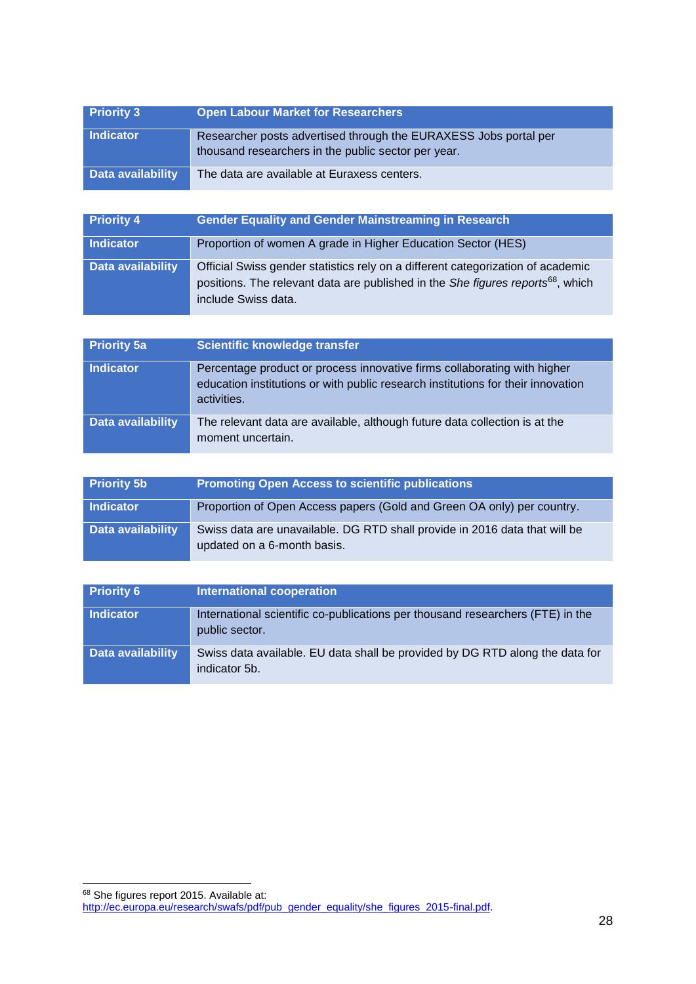| <b>Priority 3</b> | <b>Open Labour Market for Researchers</b>                                                                               |
|-------------------|-------------------------------------------------------------------------------------------------------------------------|
| Indicator         | Researcher posts advertised through the EURAXESS Jobs portal per<br>thousand researchers in the public sector per year. |
| Data availability | The data are available at Euraxess centers.                                                                             |

| <b>Priority 4</b> | <b>Gender Equality and Gender Mainstreaming in Research</b>                                                                                                                                           |
|-------------------|-------------------------------------------------------------------------------------------------------------------------------------------------------------------------------------------------------|
| Indicator         | Proportion of women A grade in Higher Education Sector (HES)                                                                                                                                          |
| Data availability | Official Swiss gender statistics rely on a different categorization of academic<br>positions. The relevant data are published in the She figures reports <sup>68</sup> , which<br>include Swiss data. |

| <b>Priority 5a</b> | Scientific knowledge transfer                                                                                                                                               |
|--------------------|-----------------------------------------------------------------------------------------------------------------------------------------------------------------------------|
| Indicator          | Percentage product or process innovative firms collaborating with higher<br>education institutions or with public research institutions for their innovation<br>activities. |
| Data availability  | The relevant data are available, although future data collection is at the<br>moment uncertain.                                                                             |

| <b>Priority 5b</b> | <b>Promoting Open Access to scientific publications</b>                                                   |
|--------------------|-----------------------------------------------------------------------------------------------------------|
| Indicator          | Proportion of Open Access papers (Gold and Green OA only) per country.                                    |
| Data availability  | Swiss data are unavailable. DG RTD shall provide in 2016 data that will be<br>updated on a 6-month basis. |

| <b>Priority 6</b> | <b>International cooperation</b>                                                                 |
|-------------------|--------------------------------------------------------------------------------------------------|
| Indicator         | International scientific co-publications per thousand researchers (FTE) in the<br>public sector. |
| Data availability | Swiss data available. EU data shall be provided by DG RTD along the data for<br>indicator 5b.    |

-

<sup>68</sup> She figures report 2015. Available at: [http://ec.europa.eu/research/swafs/pdf/pub\\_gender\\_equality/she\\_figures\\_2015-final.pdf.](http://ec.europa.eu/research/swafs/pdf/pub_gender_equality/she_figures_2015-final.pdf)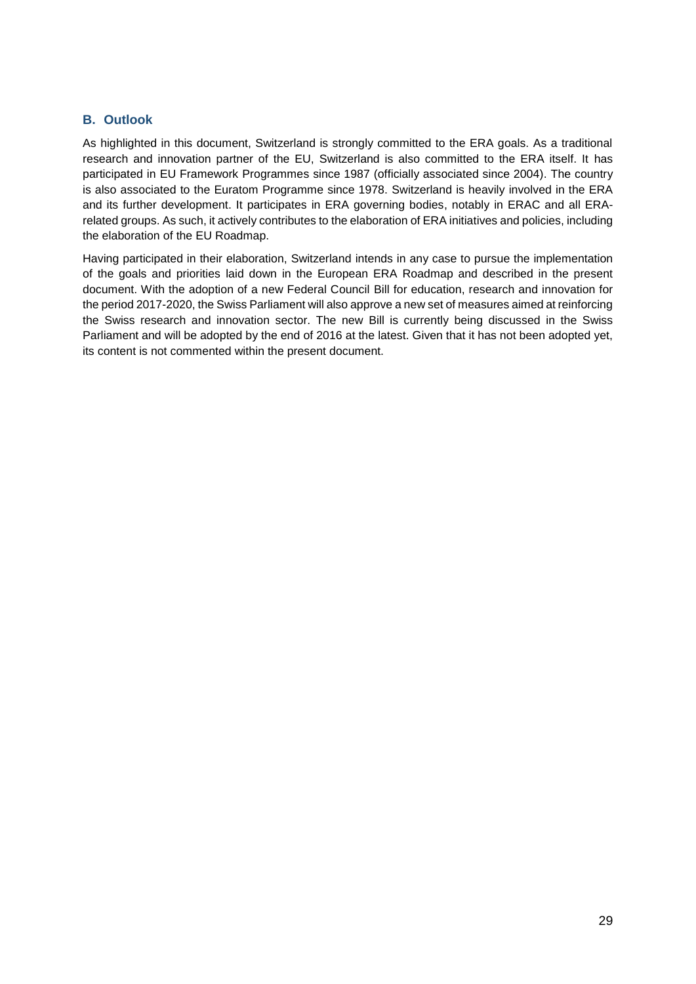#### **B. Outlook**

As highlighted in this document, Switzerland is strongly committed to the ERA goals. As a traditional research and innovation partner of the EU, Switzerland is also committed to the ERA itself. It has participated in EU Framework Programmes since 1987 (officially associated since 2004). The country is also associated to the Euratom Programme since 1978. Switzerland is heavily involved in the ERA and its further development. It participates in ERA governing bodies, notably in ERAC and all ERArelated groups. As such, it actively contributes to the elaboration of ERA initiatives and policies, including the elaboration of the EU Roadmap.

Having participated in their elaboration, Switzerland intends in any case to pursue the implementation of the goals and priorities laid down in the European ERA Roadmap and described in the present document. With the adoption of a new Federal Council Bill for education, research and innovation for the period 2017-2020, the Swiss Parliament will also approve a new set of measures aimed at reinforcing the Swiss research and innovation sector. The new Bill is currently being discussed in the Swiss Parliament and will be adopted by the end of 2016 at the latest. Given that it has not been adopted yet, its content is not commented within the present document.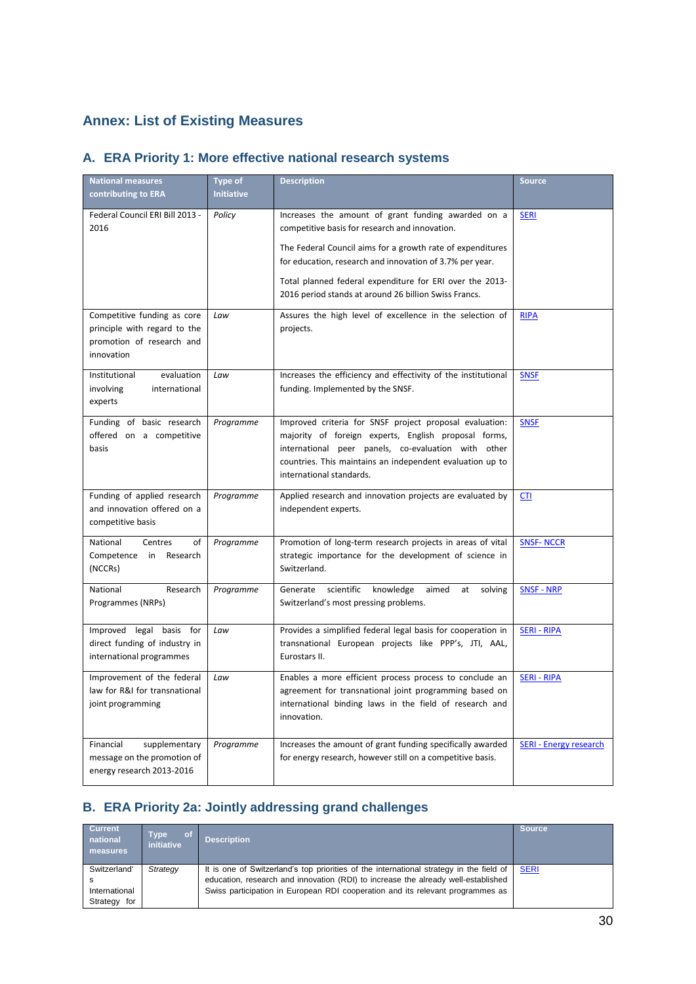# **Annex: List of Existing Measures**

# **A. ERA Priority 1: More effective national research systems**

| <b>National measures</b><br>contributing to ERA                                                        | Type of<br><b>Initiative</b> | <b>Description</b>                                                                                                                                                                                                                                                                                                                                  | <b>Source</b>                 |
|--------------------------------------------------------------------------------------------------------|------------------------------|-----------------------------------------------------------------------------------------------------------------------------------------------------------------------------------------------------------------------------------------------------------------------------------------------------------------------------------------------------|-------------------------------|
| Federal Council ERI Bill 2013 -<br>2016                                                                | Policy                       | Increases the amount of grant funding awarded on a<br>competitive basis for research and innovation.<br>The Federal Council aims for a growth rate of expenditures<br>for education, research and innovation of 3.7% per year.<br>Total planned federal expenditure for ERI over the 2013-<br>2016 period stands at around 26 billion Swiss Francs. | <b>SERI</b>                   |
| Competitive funding as core<br>principle with regard to the<br>promotion of research and<br>innovation | Law                          | Assures the high level of excellence in the selection of<br>projects.                                                                                                                                                                                                                                                                               | <b>RIPA</b>                   |
| Institutional<br>evaluation<br>involving<br>international<br>experts                                   | Law                          | Increases the efficiency and effectivity of the institutional<br>funding. Implemented by the SNSF.                                                                                                                                                                                                                                                  | <b>SNSF</b>                   |
| Funding of basic research<br>offered on a competitive<br>basis                                         | Programme                    | Improved criteria for SNSF project proposal evaluation:<br>majority of foreign experts, English proposal forms,<br>international peer panels, co-evaluation with other<br>countries. This maintains an independent evaluation up to<br>international standards.                                                                                     | <b>SNSF</b>                   |
| Funding of applied research<br>and innovation offered on a<br>competitive basis                        | Programme                    | Applied research and innovation projects are evaluated by<br>independent experts.                                                                                                                                                                                                                                                                   | <b>CTI</b>                    |
| National<br>Centres<br>of<br>Competence in<br>Research<br>(NCCRs)                                      | Programme                    | Promotion of long-term research projects in areas of vital<br>strategic importance for the development of science in<br>Switzerland.                                                                                                                                                                                                                | <b>SNSF-NCCR</b>              |
| National<br>Research<br>Programmes (NRPs)                                                              | Programme                    | scientific<br>knowledge<br>Generate<br>aimed<br>solving<br>at<br>Switzerland's most pressing problems.                                                                                                                                                                                                                                              | <b>SNSF - NRP</b>             |
| Improved legal basis for<br>direct funding of industry in<br>international programmes                  | Law                          | Provides a simplified federal legal basis for cooperation in<br>transnational European projects like PPP's, JTI, AAL,<br>Eurostars II.                                                                                                                                                                                                              | <b>SERI - RIPA</b>            |
| Improvement of the federal<br>law for R&I for transnational<br>joint programming                       | Law                          | Enables a more efficient process process to conclude an<br>agreement for transnational joint programming based on<br>international binding laws in the field of research and<br>innovation.                                                                                                                                                         | <b>SERI - RIPA</b>            |
| Financial<br>supplementary<br>message on the promotion of<br>energy research 2013-2016                 | Programme                    | Increases the amount of grant funding specifically awarded<br>for energy research, however still on a competitive basis.                                                                                                                                                                                                                            | <b>SERI - Energy research</b> |

# **B. ERA Priority 2a: Jointly addressing grand challenges**

| <b>Current</b><br>national<br>measures | <b>of</b><br><b>Type</b><br>initiative | <b>Description</b>                                                                      | <b>Source</b> |
|----------------------------------------|----------------------------------------|-----------------------------------------------------------------------------------------|---------------|
| Switzerland'                           | Strategy                               | It is one of Switzerland's top priorities of the international strategy in the field of | <b>SERI</b>   |
|                                        |                                        | education, research and innovation (RDI) to increase the already well-established       |               |
| International                          |                                        | Swiss participation in European RDI cooperation and its relevant programmes as          |               |
| Strategy for                           |                                        |                                                                                         |               |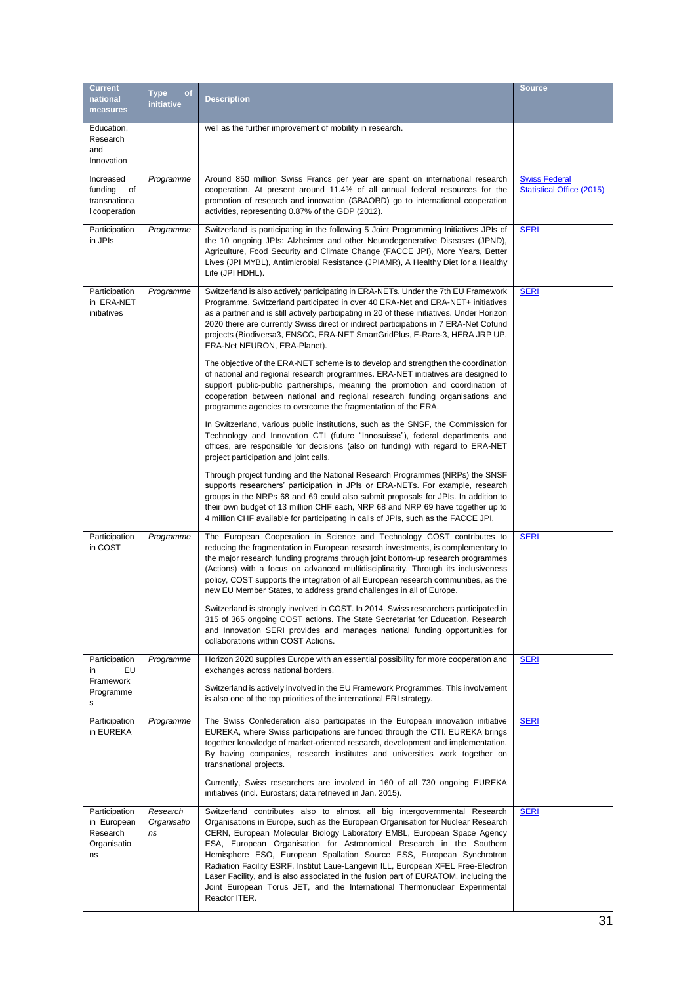| <b>Current</b>                                                |                                        |                                                                                                                                                                                                                                                                                                                                                                                                                                                                                                                                                                                                                                                                   | <b>Source</b>                                            |
|---------------------------------------------------------------|----------------------------------------|-------------------------------------------------------------------------------------------------------------------------------------------------------------------------------------------------------------------------------------------------------------------------------------------------------------------------------------------------------------------------------------------------------------------------------------------------------------------------------------------------------------------------------------------------------------------------------------------------------------------------------------------------------------------|----------------------------------------------------------|
| national<br>measures                                          | <b>of</b><br><b>Type</b><br>initiative | <b>Description</b>                                                                                                                                                                                                                                                                                                                                                                                                                                                                                                                                                                                                                                                |                                                          |
| Education,<br>Research<br>and<br>Innovation                   |                                        | well as the further improvement of mobility in research.                                                                                                                                                                                                                                                                                                                                                                                                                                                                                                                                                                                                          |                                                          |
| Increased<br>of<br>funding<br>transnationa<br>I cooperation   | Programme                              | Around 850 million Swiss Francs per year are spent on international research<br>cooperation. At present around 11.4% of all annual federal resources for the<br>promotion of research and innovation (GBAORD) go to international cooperation<br>activities, representing 0.87% of the GDP (2012).                                                                                                                                                                                                                                                                                                                                                                | <b>Swiss Federal</b><br><b>Statistical Office (2015)</b> |
| Participation<br>in JPIs                                      | Programme                              | Switzerland is participating in the following 5 Joint Programming Initiatives JPIs of<br>the 10 ongoing JPIs: Alzheimer and other Neurodegenerative Diseases (JPND),<br>Agriculture, Food Security and Climate Change (FACCE JPI), More Years, Better<br>Lives (JPI MYBL), Antimicrobial Resistance (JPIAMR), A Healthy Diet for a Healthy<br>Life (JPI HDHL).                                                                                                                                                                                                                                                                                                    | <b>SERI</b>                                              |
| Participation<br>in ERA-NET<br>initiatives                    | Programme                              | Switzerland is also actively participating in ERA-NETs. Under the 7th EU Framework<br>Programme, Switzerland participated in over 40 ERA-Net and ERA-NET+ initiatives<br>as a partner and is still actively participating in 20 of these initiatives. Under Horizon<br>2020 there are currently Swiss direct or indirect participations in 7 ERA-Net Cofund<br>projects (Biodiversa3, ENSCC, ERA-NET SmartGridPlus, E-Rare-3, HERA JRP UP,<br>ERA-Net NEURON, ERA-Planet).                                                                                                                                                                                        | <b>SERI</b>                                              |
|                                                               |                                        | The objective of the ERA-NET scheme is to develop and strengthen the coordination<br>of national and regional research programmes. ERA-NET initiatives are designed to<br>support public-public partnerships, meaning the promotion and coordination of<br>cooperation between national and regional research funding organisations and<br>programme agencies to overcome the fragmentation of the ERA.                                                                                                                                                                                                                                                           |                                                          |
|                                                               |                                        | In Switzerland, various public institutions, such as the SNSF, the Commission for<br>Technology and Innovation CTI (future "Innosuisse"), federal departments and<br>offices, are responsible for decisions (also on funding) with regard to ERA-NET<br>project participation and joint calls.                                                                                                                                                                                                                                                                                                                                                                    |                                                          |
|                                                               |                                        | Through project funding and the National Research Programmes (NRPs) the SNSF<br>supports researchers' participation in JPIs or ERA-NETs. For example, research<br>groups in the NRPs 68 and 69 could also submit proposals for JPIs. In addition to<br>their own budget of 13 million CHF each, NRP 68 and NRP 69 have together up to<br>4 million CHF available for participating in calls of JPIs, such as the FACCE JPI.                                                                                                                                                                                                                                       |                                                          |
| Participation<br>in COST                                      | Programme                              | The European Cooperation in Science and Technology COST contributes to<br>reducing the fragmentation in European research investments, is complementary to<br>the major research funding programs through joint bottom-up research programmes<br>(Actions) with a focus on advanced multidisciplinarity. Through its inclusiveness<br>policy, COST supports the integration of all European research communities, as the<br>new EU Member States, to address grand challenges in all of Europe.                                                                                                                                                                   | <b>SERI</b>                                              |
|                                                               |                                        | Switzerland is strongly involved in COST. In 2014, Swiss researchers participated in<br>315 of 365 ongoing COST actions. The State Secretariat for Education, Research<br>and Innovation SERI provides and manages national funding opportunities for<br>collaborations within COST Actions.                                                                                                                                                                                                                                                                                                                                                                      |                                                          |
| Participation<br>EU<br>in<br>Framework<br>Programme<br>s      | Programme                              | Horizon 2020 supplies Europe with an essential possibility for more cooperation and<br>exchanges across national borders.<br>Switzerland is actively involved in the EU Framework Programmes. This involvement<br>is also one of the top priorities of the international ERI strategy.                                                                                                                                                                                                                                                                                                                                                                            | <b>SERI</b>                                              |
| Participation<br>in EUREKA                                    | Programme                              | The Swiss Confederation also participates in the European innovation initiative<br>EUREKA, where Swiss participations are funded through the CTI. EUREKA brings<br>together knowledge of market-oriented research, development and implementation.<br>By having companies, research institutes and universities work together on<br>transnational projects.<br>Currently, Swiss researchers are involved in 160 of all 730 ongoing EUREKA<br>initiatives (incl. Eurostars; data retrieved in Jan. 2015).                                                                                                                                                          | <b>SERI</b>                                              |
| Participation<br>in European<br>Research<br>Organisatio<br>ns | Research<br>Organisatio<br>ns          | Switzerland contributes also to almost all big intergovernmental Research<br>Organisations in Europe, such as the European Organisation for Nuclear Research<br>CERN, European Molecular Biology Laboratory EMBL, European Space Agency<br>ESA, European Organisation for Astronomical Research in the Southern<br>Hemisphere ESO, European Spallation Source ESS, European Synchrotron<br>Radiation Facility ESRF, Institut Laue-Langevin ILL, European XFEL Free-Electron<br>Laser Facility, and is also associated in the fusion part of EURATOM, including the<br>Joint European Torus JET, and the International Thermonuclear Experimental<br>Reactor ITER. | <b>SERI</b>                                              |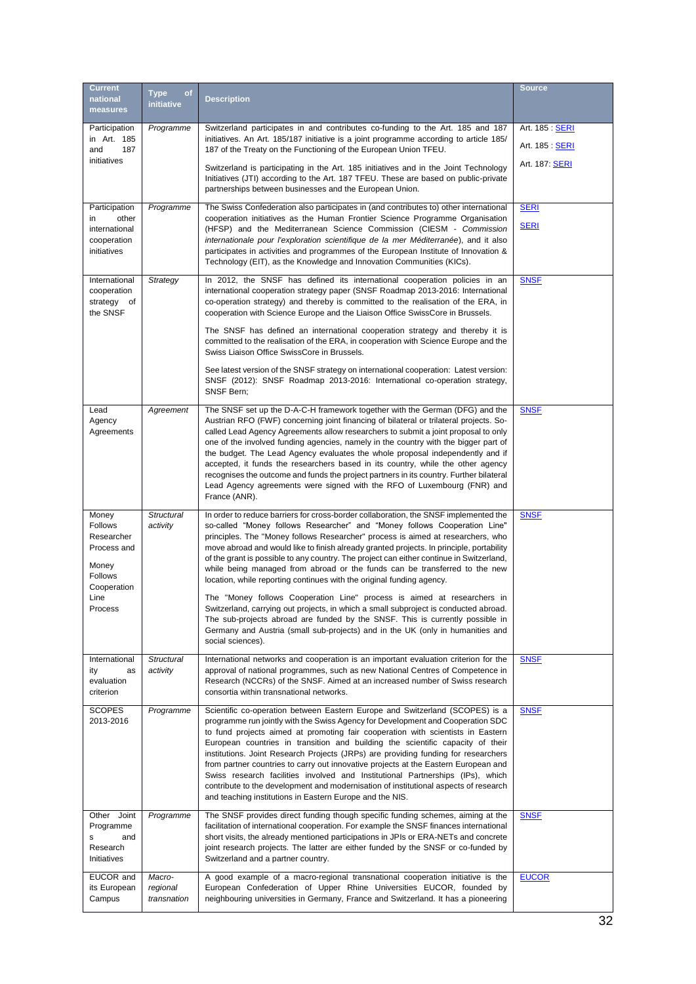| <b>Current</b>                                                                                             |                                            |                                                                                                                                                                                                                                                                                                                                                                                                                                                                                                                                                                                                                                                                                                                                                                                                                                                                                                                                                                | Source                |
|------------------------------------------------------------------------------------------------------------|--------------------------------------------|----------------------------------------------------------------------------------------------------------------------------------------------------------------------------------------------------------------------------------------------------------------------------------------------------------------------------------------------------------------------------------------------------------------------------------------------------------------------------------------------------------------------------------------------------------------------------------------------------------------------------------------------------------------------------------------------------------------------------------------------------------------------------------------------------------------------------------------------------------------------------------------------------------------------------------------------------------------|-----------------------|
| national<br>measures                                                                                       | <b>Type</b><br><sub>of</sub><br>initiative | <b>Description</b>                                                                                                                                                                                                                                                                                                                                                                                                                                                                                                                                                                                                                                                                                                                                                                                                                                                                                                                                             |                       |
| Participation                                                                                              | Programme                                  | Switzerland participates in and contributes co-funding to the Art. 185 and 187                                                                                                                                                                                                                                                                                                                                                                                                                                                                                                                                                                                                                                                                                                                                                                                                                                                                                 | Art. 185: SERI        |
| in Art. 185<br>187<br>and                                                                                  |                                            | initiatives. An Art. 185/187 initiative is a joint programme according to article 185/<br>187 of the Treaty on the Functioning of the European Union TFEU.                                                                                                                                                                                                                                                                                                                                                                                                                                                                                                                                                                                                                                                                                                                                                                                                     | Art. 185 : SERI       |
| initiatives                                                                                                |                                            | Switzerland is participating in the Art. 185 initiatives and in the Joint Technology<br>Initiatives (JTI) according to the Art. 187 TFEU. These are based on public-private                                                                                                                                                                                                                                                                                                                                                                                                                                                                                                                                                                                                                                                                                                                                                                                    | Art. 187: <b>SERI</b> |
|                                                                                                            |                                            | partnerships between businesses and the European Union.                                                                                                                                                                                                                                                                                                                                                                                                                                                                                                                                                                                                                                                                                                                                                                                                                                                                                                        |                       |
| Participation<br>other<br>in                                                                               | Programme                                  | The Swiss Confederation also participates in (and contributes to) other international<br>cooperation initiatives as the Human Frontier Science Programme Organisation                                                                                                                                                                                                                                                                                                                                                                                                                                                                                                                                                                                                                                                                                                                                                                                          | <b>SERI</b>           |
| international<br>cooperation<br>initiatives                                                                |                                            | (HFSP) and the Mediterranean Science Commission (CIESM - Commission<br>internationale pour l'exploration scientifique de la mer Méditerranée), and it also<br>participates in activities and programmes of the European Institute of Innovation &                                                                                                                                                                                                                                                                                                                                                                                                                                                                                                                                                                                                                                                                                                              | <b>SERI</b>           |
|                                                                                                            |                                            | Technology (EIT), as the Knowledge and Innovation Communities (KICs).                                                                                                                                                                                                                                                                                                                                                                                                                                                                                                                                                                                                                                                                                                                                                                                                                                                                                          |                       |
| International<br>cooperation<br>strategy of<br>the SNSF                                                    | Strategy                                   | In 2012, the SNSF has defined its international cooperation policies in an<br>international cooperation strategy paper (SNSF Roadmap 2013-2016: International<br>co-operation strategy) and thereby is committed to the realisation of the ERA, in<br>cooperation with Science Europe and the Liaison Office SwissCore in Brussels.                                                                                                                                                                                                                                                                                                                                                                                                                                                                                                                                                                                                                            | <b>SNSF</b>           |
|                                                                                                            |                                            | The SNSF has defined an international cooperation strategy and thereby it is<br>committed to the realisation of the ERA, in cooperation with Science Europe and the<br>Swiss Liaison Office SwissCore in Brussels.                                                                                                                                                                                                                                                                                                                                                                                                                                                                                                                                                                                                                                                                                                                                             |                       |
|                                                                                                            |                                            | See latest version of the SNSF strategy on international cooperation: Latest version:<br>SNSF (2012): SNSF Roadmap 2013-2016: International co-operation strategy,<br>SNSF Bern;                                                                                                                                                                                                                                                                                                                                                                                                                                                                                                                                                                                                                                                                                                                                                                               |                       |
| Lead<br>Agency<br>Agreements                                                                               | Agreement                                  | The SNSF set up the D-A-C-H framework together with the German (DFG) and the<br>Austrian RFO (FWF) concerning joint financing of bilateral or trilateral projects. So-<br>called Lead Agency Agreements allow researchers to submit a joint proposal to only<br>one of the involved funding agencies, namely in the country with the bigger part of<br>the budget. The Lead Agency evaluates the whole proposal independently and if<br>accepted, it funds the researchers based in its country, while the other agency<br>recognises the outcome and funds the project partners in its country. Further bilateral<br>Lead Agency agreements were signed with the RFO of Luxembourg (FNR) and<br>France (ANR).                                                                                                                                                                                                                                                 | <b>SNSF</b>           |
| Money<br><b>Follows</b><br>Researcher<br>Process and<br>Money<br>Follows<br>Cooperation<br>Line<br>Process | Structural<br>activity                     | In order to reduce barriers for cross-border collaboration, the SNSF implemented the<br>so-called "Money follows Researcher" and "Money follows Cooperation Line"<br>principles. The "Money follows Researcher" process is aimed at researchers, who<br>move abroad and would like to finish already granted projects. In principle, portability<br>of the grant is possible to any country. The project can either continue in Switzerland,<br>while being managed from abroad or the funds can be transferred to the new<br>location, while reporting continues with the original funding agency.<br>The "Money follows Cooperation Line" process is aimed at researchers in<br>Switzerland, carrying out projects, in which a small subproject is conducted abroad.<br>The sub-projects abroad are funded by the SNSF. This is currently possible in<br>Germany and Austria (small sub-projects) and in the UK (only in humanities and<br>social sciences). | <b>SNSF</b>           |
| International<br>ity<br>as<br>evaluation<br>criterion                                                      | Structural<br>activity                     | International networks and cooperation is an important evaluation criterion for the<br>approval of national programmes, such as new National Centres of Competence in<br>Research (NCCRs) of the SNSF. Aimed at an increased number of Swiss research<br>consortia within transnational networks.                                                                                                                                                                                                                                                                                                                                                                                                                                                                                                                                                                                                                                                              | <b>SNSF</b>           |
| <b>SCOPES</b><br>2013-2016                                                                                 | Programme                                  | Scientific co-operation between Eastern Europe and Switzerland (SCOPES) is a<br>programme run jointly with the Swiss Agency for Development and Cooperation SDC<br>to fund projects aimed at promoting fair cooperation with scientists in Eastern<br>European countries in transition and building the scientific capacity of their<br>institutions. Joint Research Projects (JRPs) are providing funding for researchers<br>from partner countries to carry out innovative projects at the Eastern European and<br>Swiss research facilities involved and Institutional Partnerships (IPs), which<br>contribute to the development and modernisation of institutional aspects of research<br>and teaching institutions in Eastern Europe and the NIS.                                                                                                                                                                                                        | <b>SNSF</b>           |
| Other Joint<br>Programme<br>and<br>s<br>Research<br>Initiatives                                            | Programme                                  | The SNSF provides direct funding though specific funding schemes, aiming at the<br>facilitation of international cooperation. For example the SNSF finances international<br>short visits, the already mentioned participations in JPIs or ERA-NETs and concrete<br>joint research projects. The latter are either funded by the SNSF or co-funded by<br>Switzerland and a partner country.                                                                                                                                                                                                                                                                                                                                                                                                                                                                                                                                                                    | <b>SNSF</b>           |
| EUCOR and<br>its European<br>Campus                                                                        | Macro-<br>regional<br>transnation          | A good example of a macro-regional transnational cooperation initiative is the<br>European Confederation of Upper Rhine Universities EUCOR, founded by<br>neighbouring universities in Germany, France and Switzerland. It has a pioneering                                                                                                                                                                                                                                                                                                                                                                                                                                                                                                                                                                                                                                                                                                                    | <b>EUCOR</b>          |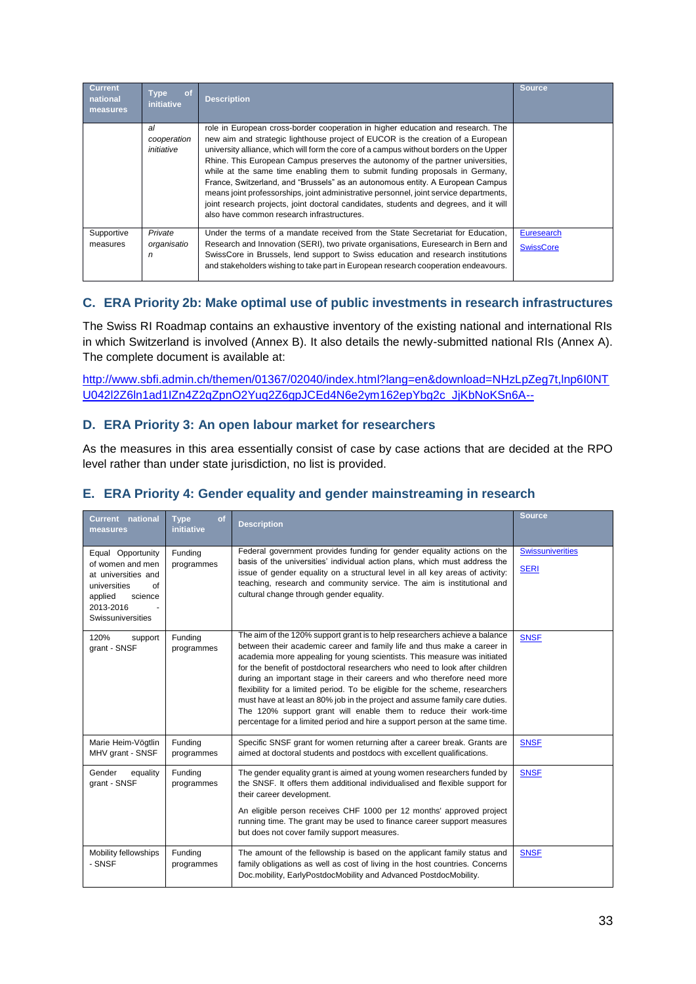| <b>Current</b><br>national<br>measures | of<br>Type<br>initiative        | <b>Description</b>                                                                                                                                                                                                                                                                                                                                                                                                                                                                                                                                                                                                                                                                                                                                 | <b>Source</b>                  |
|----------------------------------------|---------------------------------|----------------------------------------------------------------------------------------------------------------------------------------------------------------------------------------------------------------------------------------------------------------------------------------------------------------------------------------------------------------------------------------------------------------------------------------------------------------------------------------------------------------------------------------------------------------------------------------------------------------------------------------------------------------------------------------------------------------------------------------------------|--------------------------------|
|                                        | al<br>cooperation<br>initiative | role in European cross-border cooperation in higher education and research. The<br>new aim and strategic lighthouse project of EUCOR is the creation of a European<br>university alliance, which will form the core of a campus without borders on the Upper<br>Rhine. This European Campus preserves the autonomy of the partner universities,<br>while at the same time enabling them to submit funding proposals in Germany,<br>France, Switzerland, and "Brussels" as an autonomous entity. A European Campus<br>means joint professorships, joint administrative personnel, joint service departments,<br>joint research projects, joint doctoral candidates, students and degrees, and it will<br>also have common research infrastructures. |                                |
| Supportive<br>measures                 | Private<br>organisatio<br>n     | Under the terms of a mandate received from the State Secretariat for Education.<br>Research and Innovation (SERI), two private organisations, Euresearch in Bern and<br>SwissCore in Brussels, lend support to Swiss education and research institutions<br>and stakeholders wishing to take part in European research cooperation endeavours.                                                                                                                                                                                                                                                                                                                                                                                                     | Euresearch<br><b>SwissCore</b> |

#### **C. ERA Priority 2b: Make optimal use of public investments in research infrastructures**

The Swiss RI Roadmap contains an exhaustive inventory of the existing national and international RIs in which Switzerland is involved (Annex B). It also details the newly-submitted national RIs (Annex A). The complete document is available at:

[http://www.sbfi.admin.ch/themen/01367/02040/index.html?lang=en&download=NHzLpZeg7t,lnp6I0NT](http://www.sbfi.admin.ch/themen/01367/02040/index.html?lang=en&download=NHzLpZeg7t,lnp6I0NTU042l2Z6ln1ad1IZn4Z2qZpnO2Yuq2Z6gpJCEd4N6e2ym162epYbg2c_JjKbNoKSn6A--) [U042l2Z6ln1ad1IZn4Z2qZpnO2Yuq2Z6gpJCEd4N6e2ym162epYbg2c\\_JjKbNoKSn6A--](http://www.sbfi.admin.ch/themen/01367/02040/index.html?lang=en&download=NHzLpZeg7t,lnp6I0NTU042l2Z6ln1ad1IZn4Z2qZpnO2Yuq2Z6gpJCEd4N6e2ym162epYbg2c_JjKbNoKSn6A--)

#### **D. ERA Priority 3: An open labour market for researchers**

As the measures in this area essentially consist of case by case actions that are decided at the RPO level rather than under state jurisdiction, no list is provided.

| <b>Current</b> national<br>measures                                                                                                        | <b>Type</b><br>of<br>initiative | <b>Description</b>                                                                                                                                                                                                                                                                                                                                                                                                                                                                                                                                                                                                                                                                                            | <b>Source</b>                          |
|--------------------------------------------------------------------------------------------------------------------------------------------|---------------------------------|---------------------------------------------------------------------------------------------------------------------------------------------------------------------------------------------------------------------------------------------------------------------------------------------------------------------------------------------------------------------------------------------------------------------------------------------------------------------------------------------------------------------------------------------------------------------------------------------------------------------------------------------------------------------------------------------------------------|----------------------------------------|
| Equal Opportunity<br>of women and men<br>at universities and<br>universities<br>of<br>science<br>applied<br>2013-2016<br>Swissuniversities | Funding<br>programmes           | Federal government provides funding for gender equality actions on the<br>basis of the universities' individual action plans, which must address the<br>issue of gender equality on a structural level in all key areas of activity:<br>teaching, research and community service. The aim is institutional and<br>cultural change through gender equality.                                                                                                                                                                                                                                                                                                                                                    | <b>Swissuniverities</b><br><b>SERI</b> |
| 120%<br>support<br>grant - SNSF                                                                                                            | Funding<br>programmes           | The aim of the 120% support grant is to help researchers achieve a balance<br>between their academic career and family life and thus make a career in<br>academia more appealing for young scientists. This measure was initiated<br>for the benefit of postdoctoral researchers who need to look after children<br>during an important stage in their careers and who therefore need more<br>flexibility for a limited period. To be eligible for the scheme, researchers<br>must have at least an 80% job in the project and assume family care duties.<br>The 120% support grant will enable them to reduce their work-time<br>percentage for a limited period and hire a support person at the same time. | <b>SNSF</b>                            |
| Marie Heim-Vögtlin<br>MHV grant - SNSF                                                                                                     | Funding<br>programmes           | Specific SNSF grant for women returning after a career break. Grants are<br>aimed at doctoral students and postdocs with excellent qualifications.                                                                                                                                                                                                                                                                                                                                                                                                                                                                                                                                                            | <b>SNSF</b>                            |
| Gender<br>equality<br>grant - SNSF                                                                                                         | Funding<br>programmes           | The gender equality grant is aimed at young women researchers funded by<br>the SNSF. It offers them additional individualised and flexible support for<br>their career development.<br>An eligible person receives CHF 1000 per 12 months' approved project                                                                                                                                                                                                                                                                                                                                                                                                                                                   | <b>SNSF</b>                            |
|                                                                                                                                            |                                 | running time. The grant may be used to finance career support measures<br>but does not cover family support measures.                                                                                                                                                                                                                                                                                                                                                                                                                                                                                                                                                                                         |                                        |
| Mobility fellowships<br>- SNSF                                                                                                             | Funding<br>programmes           | The amount of the fellowship is based on the applicant family status and<br>family obligations as well as cost of living in the host countries. Concerns<br>Doc.mobility, EarlyPostdocMobility and Advanced PostdocMobility.                                                                                                                                                                                                                                                                                                                                                                                                                                                                                  | <b>SNSF</b>                            |

#### **E. ERA Priority 4: Gender equality and gender mainstreaming in research**